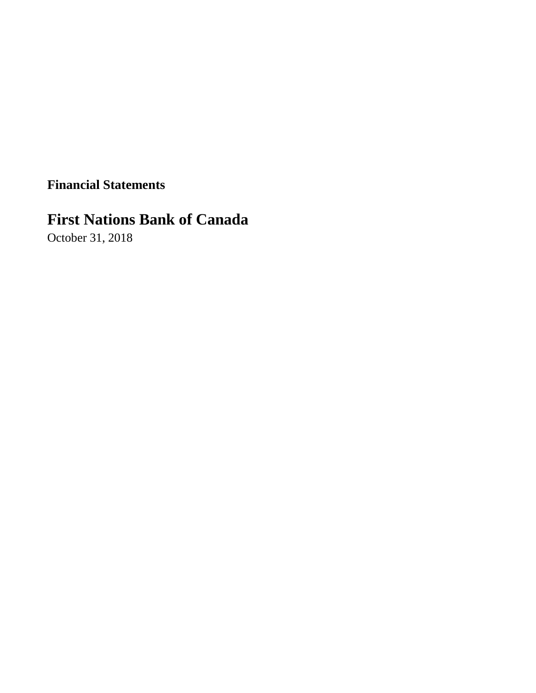**Financial Statements** 

# **First Nations Bank of Canada**

October 31, 2018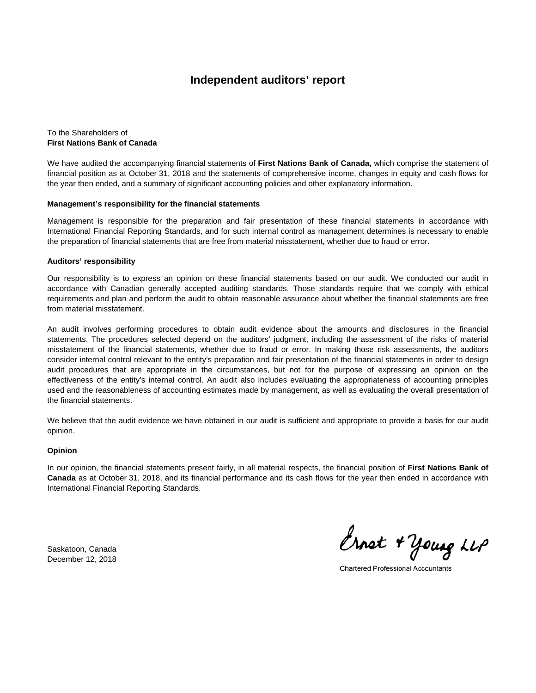## **Independent auditors' report**

#### To the Shareholders of **First Nations Bank of Canada**

We have audited the accompanying financial statements of **First Nations Bank of Canada,** which comprise the statement of financial position as at October 31, 2018 and the statements of comprehensive income, changes in equity and cash flows for the year then ended, and a summary of significant accounting policies and other explanatory information.

#### **Management's responsibility for the financial statements**

Management is responsible for the preparation and fair presentation of these financial statements in accordance with International Financial Reporting Standards, and for such internal control as management determines is necessary to enable the preparation of financial statements that are free from material misstatement, whether due to fraud or error.

#### **Auditors' responsibility**

Our responsibility is to express an opinion on these financial statements based on our audit. We conducted our audit in accordance with Canadian generally accepted auditing standards. Those standards require that we comply with ethical requirements and plan and perform the audit to obtain reasonable assurance about whether the financial statements are free from material misstatement.

An audit involves performing procedures to obtain audit evidence about the amounts and disclosures in the financial statements. The procedures selected depend on the auditors' judgment, including the assessment of the risks of material misstatement of the financial statements, whether due to fraud or error. In making those risk assessments, the auditors consider internal control relevant to the entity's preparation and fair presentation of the financial statements in order to design audit procedures that are appropriate in the circumstances, but not for the purpose of expressing an opinion on the effectiveness of the entity's internal control. An audit also includes evaluating the appropriateness of accounting principles used and the reasonableness of accounting estimates made by management, as well as evaluating the overall presentation of the financial statements.

We believe that the audit evidence we have obtained in our audit is sufficient and appropriate to provide a basis for our audit opinion.

#### **Opinion**

In our opinion, the financial statements present fairly, in all material respects, the financial position of **First Nations Bank of Canada** as at October 31, 2018, and its financial performance and its cash flows for the year then ended in accordance with International Financial Reporting Standards.

Saskatoon, Canada December 12, 2018

Ernst + young LLP

**Chartered Professional Accountants**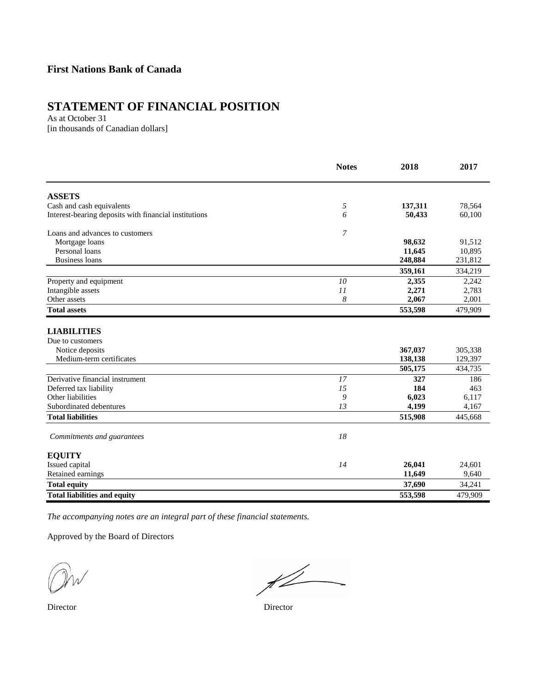## **STATEMENT OF FINANCIAL POSITION**

As at October 31

[in thousands of Canadian dollars]

|                                                       | <b>Notes</b> | 2018    | 2017    |
|-------------------------------------------------------|--------------|---------|---------|
| <b>ASSETS</b>                                         |              |         |         |
| Cash and cash equivalents                             | 5            | 137,311 | 78,564  |
| Interest-bearing deposits with financial institutions | 6            | 50,433  | 60,100  |
| Loans and advances to customers                       | 7            |         |         |
| Mortgage loans                                        |              | 98,632  | 91,512  |
| Personal loans                                        |              | 11,645  | 10,895  |
| <b>Business loans</b>                                 |              | 248,884 | 231,812 |
|                                                       |              | 359,161 | 334,219 |
| Property and equipment                                | 10           | 2,355   | 2,242   |
| Intangible assets                                     | 11           | 2,271   | 2,783   |
| Other assets                                          | 8            | 2,067   | 2,001   |
| <b>Total assets</b>                                   |              | 553,598 | 479,909 |
| <b>LIABILITIES</b><br>Due to customers                |              |         |         |
| Notice deposits                                       |              | 367,037 | 305,338 |
| Medium-term certificates                              |              | 138,138 | 129,397 |
|                                                       |              | 505,175 | 434,735 |
| Derivative financial instrument                       | 17           | 327     | 186     |
| Deferred tax liability                                | 15           | 184     | 463     |
| Other liabilities                                     | 9            | 6,023   | 6,117   |
| Subordinated debentures                               | 13           | 4,199   | 4,167   |
| <b>Total liabilities</b>                              |              | 515,908 | 445,668 |
| Commitments and guarantees                            | 18           |         |         |
| <b>EQUITY</b>                                         |              |         |         |
| Issued capital                                        | 14           | 26,041  | 24,601  |
| Retained earnings                                     |              | 11,649  | 9,640   |
| <b>Total equity</b>                                   |              | 37,690  | 34,241  |
| <b>Total liabilities and equity</b>                   |              | 553,598 | 479,909 |

*The accompanying notes are an integral part of these financial statements.*

Approved by the Board of Directors

 $\mathscr{N}$ 

Director Director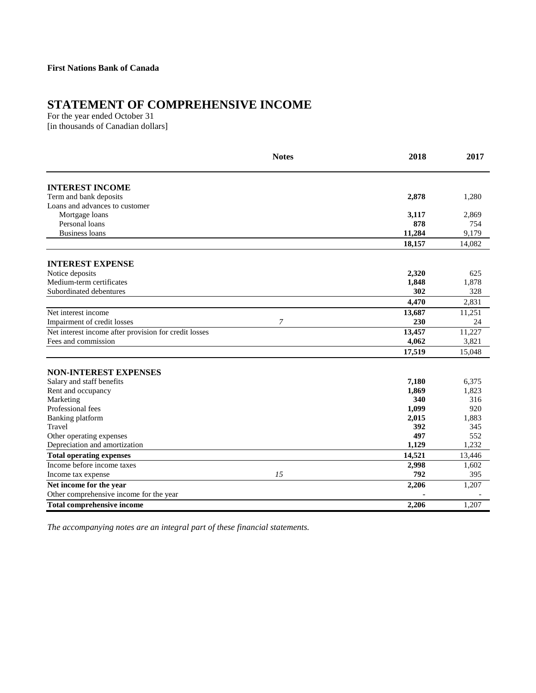## **STATEMENT OF COMPREHENSIVE INCOME**

For the year ended October 31 [in thousands of Canadian dollars]

|                                                       | <b>Notes</b> | 2018   | 2017   |
|-------------------------------------------------------|--------------|--------|--------|
| <b>INTEREST INCOME</b>                                |              |        |        |
| Term and bank deposits                                |              | 2,878  | 1.280  |
| Loans and advances to customer                        |              |        |        |
| Mortgage loans                                        |              | 3,117  | 2,869  |
| Personal loans                                        |              | 878    | 754    |
| <b>Business loans</b>                                 |              | 11,284 | 9.179  |
|                                                       |              | 18,157 | 14,082 |
| <b>INTEREST EXPENSE</b>                               |              |        |        |
| Notice deposits                                       |              | 2,320  | 625    |
| Medium-term certificates                              |              | 1,848  | 1,878  |
| Subordinated debentures                               |              | 302    | 328    |
|                                                       |              | 4,470  | 2,831  |
| Net interest income                                   |              | 13,687 | 11,251 |
| Impairment of credit losses                           | 7            | 230    | 24     |
| Net interest income after provision for credit losses |              | 13,457 | 11,227 |
| Fees and commission                                   |              | 4.062  | 3,821  |
|                                                       |              | 17,519 | 15,048 |
| <b>NON-INTEREST EXPENSES</b>                          |              |        |        |
| Salary and staff benefits                             |              | 7,180  | 6,375  |
| Rent and occupancy                                    |              | 1,869  | 1,823  |
| Marketing                                             |              | 340    | 316    |
| Professional fees                                     |              | 1,099  | 920    |
| Banking platform                                      |              | 2,015  | 1,883  |
| Travel                                                |              | 392    | 345    |
| Other operating expenses                              |              | 497    | 552    |
| Depreciation and amortization                         |              | 1,129  | 1.232  |
| <b>Total operating expenses</b>                       |              | 14,521 | 13,446 |
| Income before income taxes                            |              | 2,998  | 1,602  |
| Income tax expense                                    | 15           | 792    | 395    |
| Net income for the year                               |              | 2,206  | 1,207  |
| Other comprehensive income for the year               |              |        |        |
| <b>Total comprehensive income</b>                     |              | 2,206  | 1,207  |

*The accompanying notes are an integral part of these financial statements.*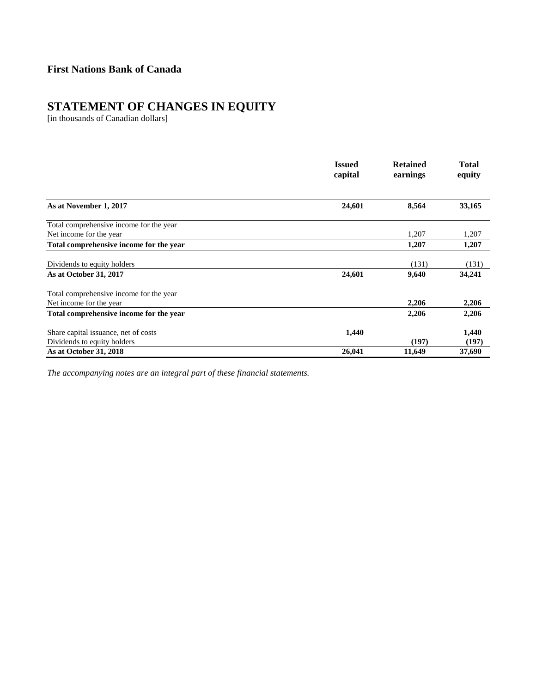# **STATEMENT OF CHANGES IN EQUITY**

[in thousands of Canadian dollars]

|                                         | <b>Issued</b><br>capital | <b>Retained</b><br>earnings | <b>Total</b><br>equity |
|-----------------------------------------|--------------------------|-----------------------------|------------------------|
| As at November 1, 2017                  | 24,601                   | 8,564                       | 33,165                 |
| Total comprehensive income for the year |                          |                             |                        |
| Net income for the year                 |                          | 1,207                       | 1,207                  |
| Total comprehensive income for the year |                          | 1,207                       | 1,207                  |
| Dividends to equity holders             |                          | (131)                       | (131)                  |
| As at October 31, 2017                  | 24,601                   | 9,640                       | 34,241                 |
| Total comprehensive income for the year |                          |                             |                        |
| Net income for the year                 |                          | 2,206                       | 2,206                  |
| Total comprehensive income for the year |                          | 2,206                       | 2,206                  |
| Share capital issuance, net of costs    | 1,440                    |                             | 1,440                  |
| Dividends to equity holders             |                          | (197)                       | (197)                  |
| As at October 31, 2018                  | 26,041                   | 11,649                      | 37,690                 |

*The accompanying notes are an integral part of these financial statements.*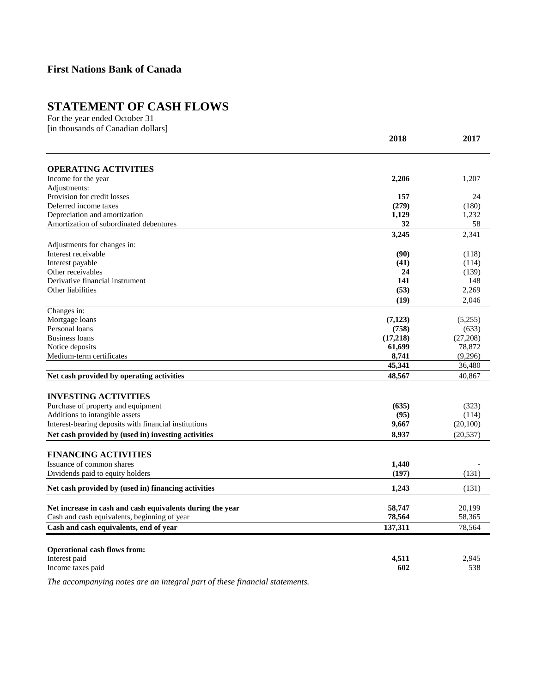## **STATEMENT OF CASH FLOWS**

For the year ended October 31 [in thousands of Canadian dollars]

|                                                                      | 2018          | 2017           |
|----------------------------------------------------------------------|---------------|----------------|
| <b>OPERATING ACTIVITIES</b>                                          |               |                |
| Income for the year                                                  | 2,206         | 1,207          |
| Adjustments:                                                         |               |                |
| Provision for credit losses                                          | 157           | 24             |
| Deferred income taxes                                                | (279)         | (180)          |
| Depreciation and amortization                                        | 1,129         | 1,232          |
| Amortization of subordinated debentures                              | 32            | 58             |
|                                                                      | 3,245         | 2.341          |
| Adjustments for changes in:                                          |               |                |
| Interest receivable                                                  | (90)          | (118)          |
| Interest payable                                                     | (41)          | (114)          |
| Other receivables                                                    | 24            | (139)          |
| Derivative financial instrument<br>Other liabilities                 | 141<br>(53)   | 148<br>2,269   |
|                                                                      |               |                |
|                                                                      | (19)          | 2.046          |
| Changes in:<br>Mortgage loans                                        | (7,123)       | (5,255)        |
| Personal loans                                                       | (758)         | (633)          |
| <b>Business loans</b>                                                | (17,218)      | (27,208)       |
| Notice deposits                                                      | 61,699        | 78,872         |
| Medium-term certificates                                             | 8,741         | (9,296)        |
|                                                                      | 45,341        | 36.480         |
| Net cash provided by operating activities                            | 48,567        | 40.867         |
|                                                                      |               |                |
| <b>INVESTING ACTIVITIES</b>                                          |               |                |
| Purchase of property and equipment<br>Additions to intangible assets | (635)<br>(95) | (323)<br>(114) |
| Interest-bearing deposits with financial institutions                | 9,667         | (20,100)       |
| Net cash provided by (used in) investing activities                  | 8,937         | (20, 537)      |
|                                                                      |               |                |
| <b>FINANCING ACTIVITIES</b>                                          |               |                |
| Issuance of common shares                                            | 1,440         |                |
| Dividends paid to equity holders                                     | (197)         | (131)          |
| Net cash provided by (used in) financing activities                  | 1,243         | (131)          |
| Net increase in cash and cash equivalents during the year            | 58,747        | 20,199         |
| Cash and cash equivalents, beginning of year                         | 78,564        | 58,365         |
| Cash and cash equivalents, end of year                               | 137,311       | 78,564         |
|                                                                      |               |                |
| <b>Operational cash flows from:</b>                                  |               |                |
| Interest paid                                                        | 4,511         | 2.945          |
| Income taxes paid                                                    | 602           | 538            |
|                                                                      |               |                |

*The accompanying notes are an integral part of these financial statements.*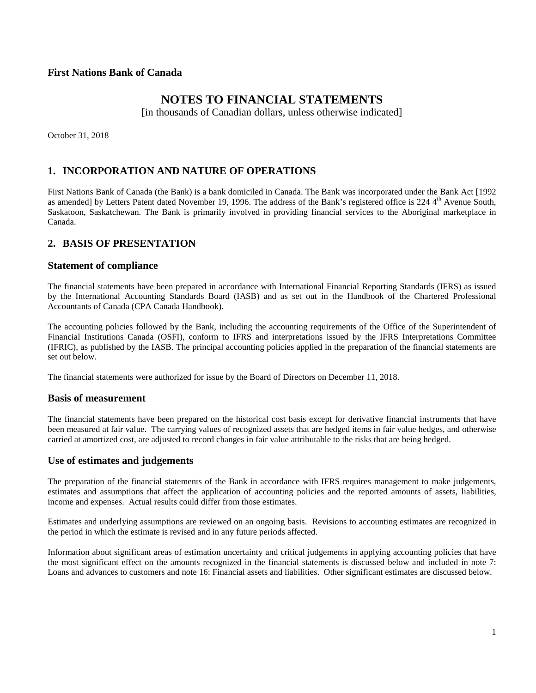## **NOTES TO FINANCIAL STATEMENTS**

[in thousands of Canadian dollars, unless otherwise indicated]

October 31, 2018

## **1. INCORPORATION AND NATURE OF OPERATIONS**

First Nations Bank of Canada (the Bank) is a bank domiciled in Canada. The Bank was incorporated under the Bank Act [1992 as amended] by Letters Patent dated November 19, 1996. The address of the Bank's registered office is 224 4<sup>th</sup> Avenue South, Saskatoon, Saskatchewan. The Bank is primarily involved in providing financial services to the Aboriginal marketplace in Canada.

## **2. BASIS OF PRESENTATION**

### **Statement of compliance**

The financial statements have been prepared in accordance with International Financial Reporting Standards (IFRS) as issued by the International Accounting Standards Board (IASB) and as set out in the Handbook of the Chartered Professional Accountants of Canada (CPA Canada Handbook).

The accounting policies followed by the Bank, including the accounting requirements of the Office of the Superintendent of Financial Institutions Canada (OSFI), conform to IFRS and interpretations issued by the IFRS Interpretations Committee (IFRIC), as published by the IASB. The principal accounting policies applied in the preparation of the financial statements are set out below.

The financial statements were authorized for issue by the Board of Directors on December 11, 2018.

#### **Basis of measurement**

The financial statements have been prepared on the historical cost basis except for derivative financial instruments that have been measured at fair value. The carrying values of recognized assets that are hedged items in fair value hedges, and otherwise carried at amortized cost, are adjusted to record changes in fair value attributable to the risks that are being hedged.

### **Use of estimates and judgements**

The preparation of the financial statements of the Bank in accordance with IFRS requires management to make judgements, estimates and assumptions that affect the application of accounting policies and the reported amounts of assets, liabilities, income and expenses. Actual results could differ from those estimates.

Estimates and underlying assumptions are reviewed on an ongoing basis. Revisions to accounting estimates are recognized in the period in which the estimate is revised and in any future periods affected.

Information about significant areas of estimation uncertainty and critical judgements in applying accounting policies that have the most significant effect on the amounts recognized in the financial statements is discussed below and included in note 7: Loans and advances to customers and note 16: Financial assets and liabilities. Other significant estimates are discussed below.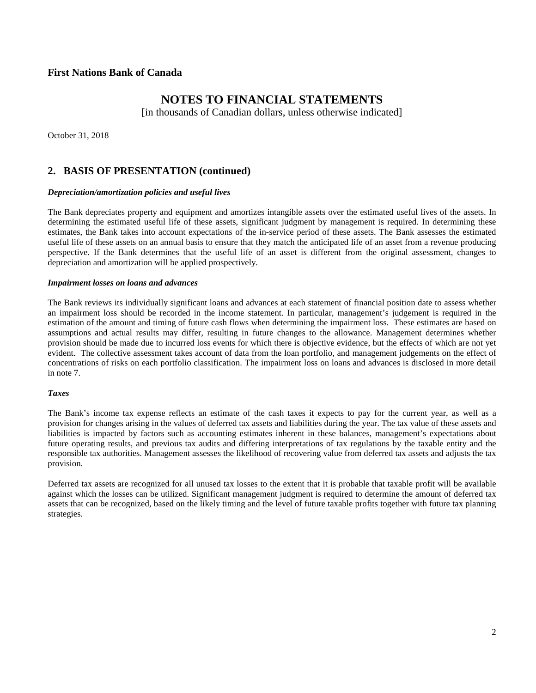## **NOTES TO FINANCIAL STATEMENTS**

[in thousands of Canadian dollars, unless otherwise indicated]

October 31, 2018

## **2. BASIS OF PRESENTATION (continued)**

#### *Depreciation/amortization policies and useful lives*

The Bank depreciates property and equipment and amortizes intangible assets over the estimated useful lives of the assets. In determining the estimated useful life of these assets, significant judgment by management is required. In determining these estimates, the Bank takes into account expectations of the in-service period of these assets. The Bank assesses the estimated useful life of these assets on an annual basis to ensure that they match the anticipated life of an asset from a revenue producing perspective. If the Bank determines that the useful life of an asset is different from the original assessment, changes to depreciation and amortization will be applied prospectively.

#### *Impairment losses on loans and advances*

The Bank reviews its individually significant loans and advances at each statement of financial position date to assess whether an impairment loss should be recorded in the income statement. In particular, management's judgement is required in the estimation of the amount and timing of future cash flows when determining the impairment loss. These estimates are based on assumptions and actual results may differ, resulting in future changes to the allowance. Management determines whether provision should be made due to incurred loss events for which there is objective evidence, but the effects of which are not yet evident. The collective assessment takes account of data from the loan portfolio, and management judgements on the effect of concentrations of risks on each portfolio classification. The impairment loss on loans and advances is disclosed in more detail in note 7.

#### *Taxes*

The Bank's income tax expense reflects an estimate of the cash taxes it expects to pay for the current year, as well as a provision for changes arising in the values of deferred tax assets and liabilities during the year. The tax value of these assets and liabilities is impacted by factors such as accounting estimates inherent in these balances, management's expectations about future operating results, and previous tax audits and differing interpretations of tax regulations by the taxable entity and the responsible tax authorities. Management assesses the likelihood of recovering value from deferred tax assets and adjusts the tax provision.

Deferred tax assets are recognized for all unused tax losses to the extent that it is probable that taxable profit will be available against which the losses can be utilized. Significant management judgment is required to determine the amount of deferred tax assets that can be recognized, based on the likely timing and the level of future taxable profits together with future tax planning strategies.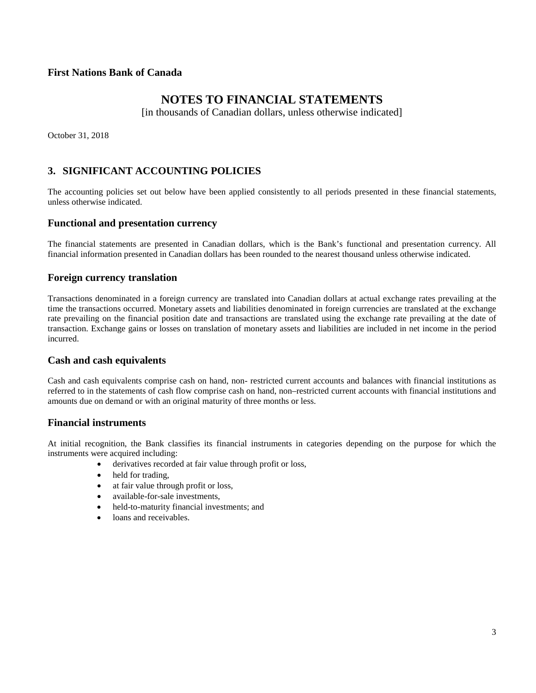## **NOTES TO FINANCIAL STATEMENTS**

[in thousands of Canadian dollars, unless otherwise indicated]

October 31, 2018

## **3. SIGNIFICANT ACCOUNTING POLICIES**

The accounting policies set out below have been applied consistently to all periods presented in these financial statements, unless otherwise indicated.

### **Functional and presentation currency**

The financial statements are presented in Canadian dollars, which is the Bank's functional and presentation currency. All financial information presented in Canadian dollars has been rounded to the nearest thousand unless otherwise indicated.

### **Foreign currency translation**

Transactions denominated in a foreign currency are translated into Canadian dollars at actual exchange rates prevailing at the time the transactions occurred. Monetary assets and liabilities denominated in foreign currencies are translated at the exchange rate prevailing on the financial position date and transactions are translated using the exchange rate prevailing at the date of transaction. Exchange gains or losses on translation of monetary assets and liabilities are included in net income in the period incurred.

### **Cash and cash equivalents**

Cash and cash equivalents comprise cash on hand, non- restricted current accounts and balances with financial institutions as referred to in the statements of cash flow comprise cash on hand, non–restricted current accounts with financial institutions and amounts due on demand or with an original maturity of three months or less.

#### **Financial instruments**

At initial recognition, the Bank classifies its financial instruments in categories depending on the purpose for which the instruments were acquired including:

- derivatives recorded at fair value through profit or loss,
- held for trading,
- at fair value through profit or loss,
- available-for-sale investments,
- held-to-maturity financial investments; and
- loans and receivables.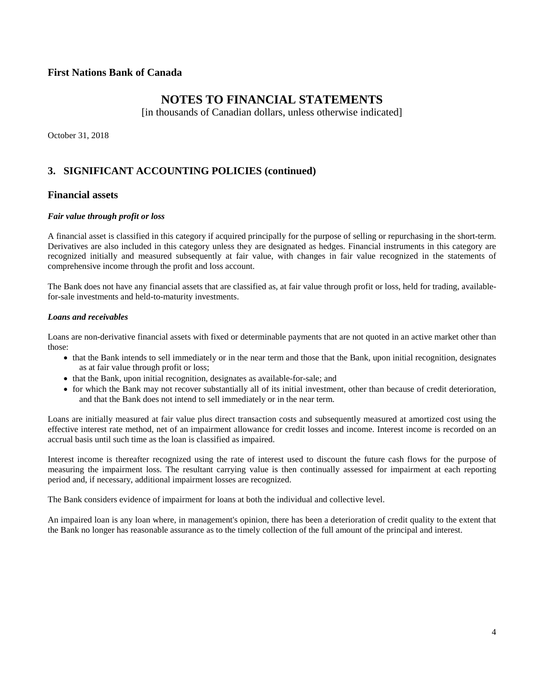## **NOTES TO FINANCIAL STATEMENTS**

[in thousands of Canadian dollars, unless otherwise indicated]

October 31, 2018

## **3. SIGNIFICANT ACCOUNTING POLICIES (continued)**

### **Financial assets**

#### *Fair value through profit or loss*

A financial asset is classified in this category if acquired principally for the purpose of selling or repurchasing in the short-term. Derivatives are also included in this category unless they are designated as hedges. Financial instruments in this category are recognized initially and measured subsequently at fair value, with changes in fair value recognized in the statements of comprehensive income through the profit and loss account.

The Bank does not have any financial assets that are classified as, at fair value through profit or loss, held for trading, availablefor-sale investments and held-to-maturity investments.

#### *Loans and receivables*

Loans are non-derivative financial assets with fixed or determinable payments that are not quoted in an active market other than those:

- that the Bank intends to sell immediately or in the near term and those that the Bank, upon initial recognition, designates as at fair value through profit or loss;
- that the Bank, upon initial recognition, designates as available-for-sale; and
- for which the Bank may not recover substantially all of its initial investment, other than because of credit deterioration, and that the Bank does not intend to sell immediately or in the near term.

Loans are initially measured at fair value plus direct transaction costs and subsequently measured at amortized cost using the effective interest rate method, net of an impairment allowance for credit losses and income. Interest income is recorded on an accrual basis until such time as the loan is classified as impaired.

Interest income is thereafter recognized using the rate of interest used to discount the future cash flows for the purpose of measuring the impairment loss. The resultant carrying value is then continually assessed for impairment at each reporting period and, if necessary, additional impairment losses are recognized.

The Bank considers evidence of impairment for loans at both the individual and collective level.

An impaired loan is any loan where, in management's opinion, there has been a deterioration of credit quality to the extent that the Bank no longer has reasonable assurance as to the timely collection of the full amount of the principal and interest.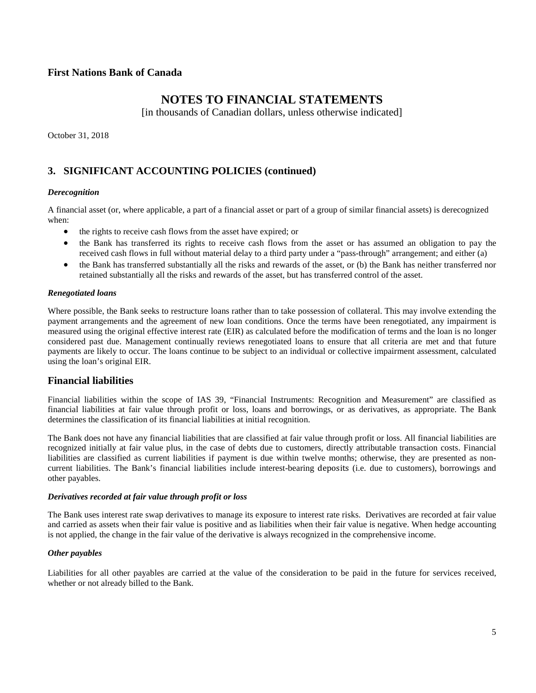## **NOTES TO FINANCIAL STATEMENTS**

[in thousands of Canadian dollars, unless otherwise indicated]

October 31, 2018

## **3. SIGNIFICANT ACCOUNTING POLICIES (continued)**

#### *Derecognition*

A financial asset (or, where applicable, a part of a financial asset or part of a group of similar financial assets) is derecognized when:

- the rights to receive cash flows from the asset have expired; or
- the Bank has transferred its rights to receive cash flows from the asset or has assumed an obligation to pay the received cash flows in full without material delay to a third party under a "pass-through" arrangement; and either (a)
- the Bank has transferred substantially all the risks and rewards of the asset, or (b) the Bank has neither transferred nor retained substantially all the risks and rewards of the asset, but has transferred control of the asset.

#### *Renegotiated loans*

Where possible, the Bank seeks to restructure loans rather than to take possession of collateral. This may involve extending the payment arrangements and the agreement of new loan conditions. Once the terms have been renegotiated, any impairment is measured using the original effective interest rate (EIR) as calculated before the modification of terms and the loan is no longer considered past due. Management continually reviews renegotiated loans to ensure that all criteria are met and that future payments are likely to occur. The loans continue to be subject to an individual or collective impairment assessment, calculated using the loan's original EIR.

### **Financial liabilities**

Financial liabilities within the scope of IAS 39, "Financial Instruments: Recognition and Measurement" are classified as financial liabilities at fair value through profit or loss, loans and borrowings, or as derivatives, as appropriate. The Bank determines the classification of its financial liabilities at initial recognition.

The Bank does not have any financial liabilities that are classified at fair value through profit or loss. All financial liabilities are recognized initially at fair value plus, in the case of debts due to customers, directly attributable transaction costs. Financial liabilities are classified as current liabilities if payment is due within twelve months; otherwise, they are presented as noncurrent liabilities. The Bank's financial liabilities include interest-bearing deposits (i.e. due to customers), borrowings and other payables.

#### *Derivatives recorded at fair value through profit or loss*

The Bank uses interest rate swap derivatives to manage its exposure to interest rate risks. Derivatives are recorded at fair value and carried as assets when their fair value is positive and as liabilities when their fair value is negative. When hedge accounting is not applied, the change in the fair value of the derivative is always recognized in the comprehensive income.

#### *Other payables*

Liabilities for all other payables are carried at the value of the consideration to be paid in the future for services received, whether or not already billed to the Bank.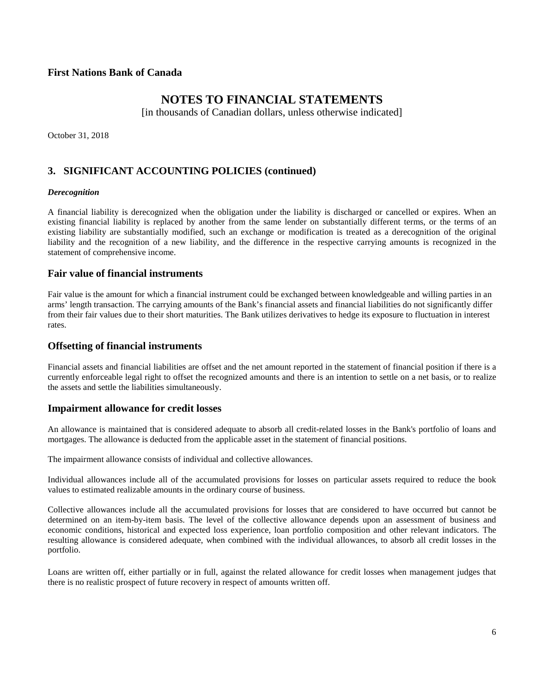## **NOTES TO FINANCIAL STATEMENTS**

[in thousands of Canadian dollars, unless otherwise indicated]

October 31, 2018

## **3. SIGNIFICANT ACCOUNTING POLICIES (continued)**

#### *Derecognition*

A financial liability is derecognized when the obligation under the liability is discharged or cancelled or expires. When an existing financial liability is replaced by another from the same lender on substantially different terms, or the terms of an existing liability are substantially modified, such an exchange or modification is treated as a derecognition of the original liability and the recognition of a new liability, and the difference in the respective carrying amounts is recognized in the statement of comprehensive income.

### **Fair value of financial instruments**

Fair value is the amount for which a financial instrument could be exchanged between knowledgeable and willing parties in an arms' length transaction. The carrying amounts of the Bank's financial assets and financial liabilities do not significantly differ from their fair values due to their short maturities. The Bank utilizes derivatives to hedge its exposure to fluctuation in interest rates.

### **Offsetting of financial instruments**

Financial assets and financial liabilities are offset and the net amount reported in the statement of financial position if there is a currently enforceable legal right to offset the recognized amounts and there is an intention to settle on a net basis, or to realize the assets and settle the liabilities simultaneously.

### **Impairment allowance for credit losses**

An allowance is maintained that is considered adequate to absorb all credit-related losses in the Bank's portfolio of loans and mortgages. The allowance is deducted from the applicable asset in the statement of financial positions.

The impairment allowance consists of individual and collective allowances.

Individual allowances include all of the accumulated provisions for losses on particular assets required to reduce the book values to estimated realizable amounts in the ordinary course of business.

Collective allowances include all the accumulated provisions for losses that are considered to have occurred but cannot be determined on an item-by-item basis. The level of the collective allowance depends upon an assessment of business and economic conditions, historical and expected loss experience, loan portfolio composition and other relevant indicators. The resulting allowance is considered adequate, when combined with the individual allowances, to absorb all credit losses in the portfolio.

Loans are written off, either partially or in full, against the related allowance for credit losses when management judges that there is no realistic prospect of future recovery in respect of amounts written off.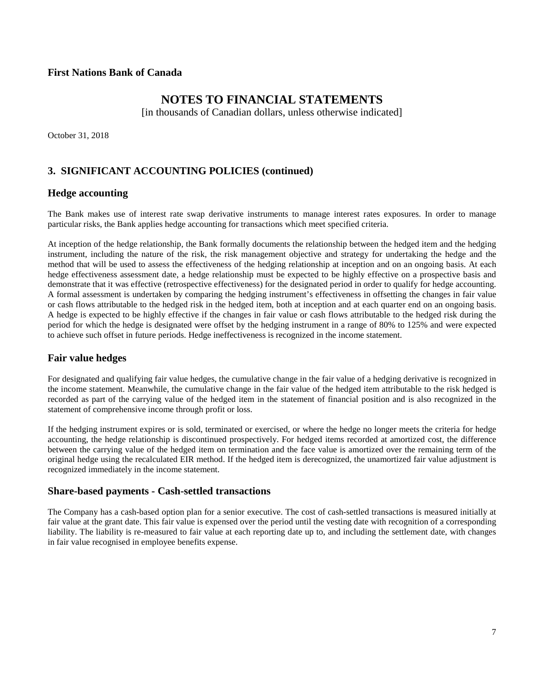## **NOTES TO FINANCIAL STATEMENTS**

[in thousands of Canadian dollars, unless otherwise indicated]

October 31, 2018

## **3. SIGNIFICANT ACCOUNTING POLICIES (continued)**

### **Hedge accounting**

The Bank makes use of interest rate swap derivative instruments to manage interest rates exposures. In order to manage particular risks, the Bank applies hedge accounting for transactions which meet specified criteria.

At inception of the hedge relationship, the Bank formally documents the relationship between the hedged item and the hedging instrument, including the nature of the risk, the risk management objective and strategy for undertaking the hedge and the method that will be used to assess the effectiveness of the hedging relationship at inception and on an ongoing basis. At each hedge effectiveness assessment date, a hedge relationship must be expected to be highly effective on a prospective basis and demonstrate that it was effective (retrospective effectiveness) for the designated period in order to qualify for hedge accounting. A formal assessment is undertaken by comparing the hedging instrument's effectiveness in offsetting the changes in fair value or cash flows attributable to the hedged risk in the hedged item, both at inception and at each quarter end on an ongoing basis. A hedge is expected to be highly effective if the changes in fair value or cash flows attributable to the hedged risk during the period for which the hedge is designated were offset by the hedging instrument in a range of 80% to 125% and were expected to achieve such offset in future periods. Hedge ineffectiveness is recognized in the income statement.

### **Fair value hedges**

For designated and qualifying fair value hedges, the cumulative change in the fair value of a hedging derivative is recognized in the income statement. Meanwhile, the cumulative change in the fair value of the hedged item attributable to the risk hedged is recorded as part of the carrying value of the hedged item in the statement of financial position and is also recognized in the statement of comprehensive income through profit or loss.

If the hedging instrument expires or is sold, terminated or exercised, or where the hedge no longer meets the criteria for hedge accounting, the hedge relationship is discontinued prospectively. For hedged items recorded at amortized cost, the difference between the carrying value of the hedged item on termination and the face value is amortized over the remaining term of the original hedge using the recalculated EIR method. If the hedged item is derecognized, the unamortized fair value adjustment is recognized immediately in the income statement.

### **Share-based payments - Cash-settled transactions**

The Company has a cash-based option plan for a senior executive. The cost of cash-settled transactions is measured initially at fair value at the grant date. This fair value is expensed over the period until the vesting date with recognition of a corresponding liability. The liability is re-measured to fair value at each reporting date up to, and including the settlement date, with changes in fair value recognised in employee benefits expense.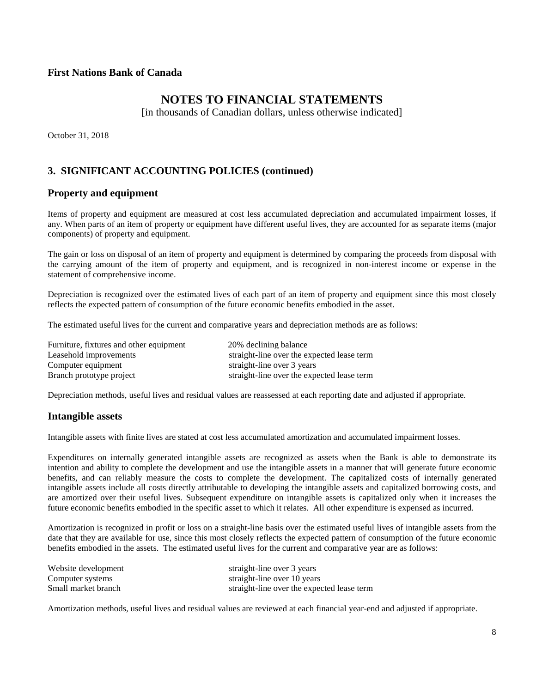## **NOTES TO FINANCIAL STATEMENTS**

[in thousands of Canadian dollars, unless otherwise indicated]

October 31, 2018

## **3. SIGNIFICANT ACCOUNTING POLICIES (continued)**

### **Property and equipment**

Items of property and equipment are measured at cost less accumulated depreciation and accumulated impairment losses, if any. When parts of an item of property or equipment have different useful lives, they are accounted for as separate items (major components) of property and equipment.

The gain or loss on disposal of an item of property and equipment is determined by comparing the proceeds from disposal with the carrying amount of the item of property and equipment, and is recognized in non-interest income or expense in the statement of comprehensive income.

Depreciation is recognized over the estimated lives of each part of an item of property and equipment since this most closely reflects the expected pattern of consumption of the future economic benefits embodied in the asset.

The estimated useful lives for the current and comparative years and depreciation methods are as follows:

| Furniture, fixtures and other equipment | 20% declining balance                      |
|-----------------------------------------|--------------------------------------------|
| Leasehold improvements                  | straight-line over the expected lease term |
| Computer equipment                      | straight-line over 3 years                 |
| Branch prototype project                | straight-line over the expected lease term |

Depreciation methods, useful lives and residual values are reassessed at each reporting date and adjusted if appropriate.

### **Intangible assets**

Intangible assets with finite lives are stated at cost less accumulated amortization and accumulated impairment losses.

Expenditures on internally generated intangible assets are recognized as assets when the Bank is able to demonstrate its intention and ability to complete the development and use the intangible assets in a manner that will generate future economic benefits, and can reliably measure the costs to complete the development. The capitalized costs of internally generated intangible assets include all costs directly attributable to developing the intangible assets and capitalized borrowing costs, and are amortized over their useful lives. Subsequent expenditure on intangible assets is capitalized only when it increases the future economic benefits embodied in the specific asset to which it relates. All other expenditure is expensed as incurred.

Amortization is recognized in profit or loss on a straight-line basis over the estimated useful lives of intangible assets from the date that they are available for use, since this most closely reflects the expected pattern of consumption of the future economic benefits embodied in the assets. The estimated useful lives for the current and comparative year are as follows:

| Website development | straight-line over 3 years                 |
|---------------------|--------------------------------------------|
| Computer systems    | straight-line over 10 years                |
| Small market branch | straight-line over the expected lease term |

Amortization methods, useful lives and residual values are reviewed at each financial year-end and adjusted if appropriate.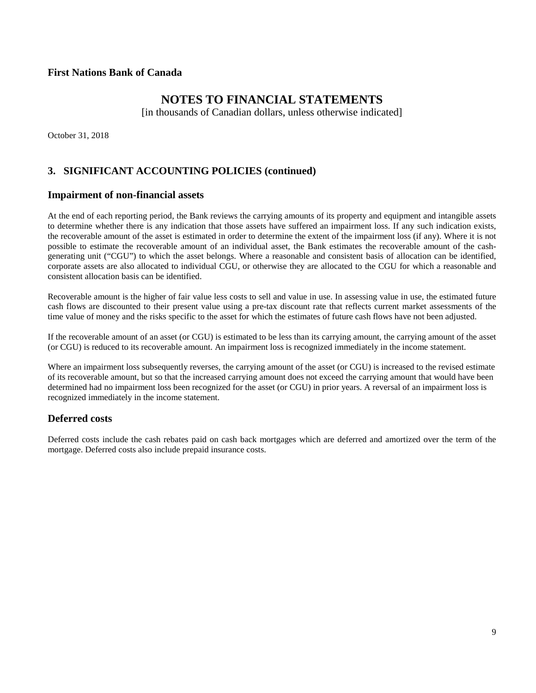## **NOTES TO FINANCIAL STATEMENTS**

[in thousands of Canadian dollars, unless otherwise indicated]

October 31, 2018

## **3. SIGNIFICANT ACCOUNTING POLICIES (continued)**

### **Impairment of non-financial assets**

At the end of each reporting period, the Bank reviews the carrying amounts of its property and equipment and intangible assets to determine whether there is any indication that those assets have suffered an impairment loss. If any such indication exists, the recoverable amount of the asset is estimated in order to determine the extent of the impairment loss (if any). Where it is not possible to estimate the recoverable amount of an individual asset, the Bank estimates the recoverable amount of the cashgenerating unit ("CGU") to which the asset belongs. Where a reasonable and consistent basis of allocation can be identified, corporate assets are also allocated to individual CGU, or otherwise they are allocated to the CGU for which a reasonable and consistent allocation basis can be identified.

Recoverable amount is the higher of fair value less costs to sell and value in use. In assessing value in use, the estimated future cash flows are discounted to their present value using a pre-tax discount rate that reflects current market assessments of the time value of money and the risks specific to the asset for which the estimates of future cash flows have not been adjusted.

If the recoverable amount of an asset (or CGU) is estimated to be less than its carrying amount, the carrying amount of the asset (or CGU) is reduced to its recoverable amount. An impairment loss is recognized immediately in the income statement.

Where an impairment loss subsequently reverses, the carrying amount of the asset (or CGU) is increased to the revised estimate of its recoverable amount, but so that the increased carrying amount does not exceed the carrying amount that would have been determined had no impairment loss been recognized for the asset (or CGU) in prior years. A reversal of an impairment loss is recognized immediately in the income statement.

### **Deferred costs**

Deferred costs include the cash rebates paid on cash back mortgages which are deferred and amortized over the term of the mortgage. Deferred costs also include prepaid insurance costs.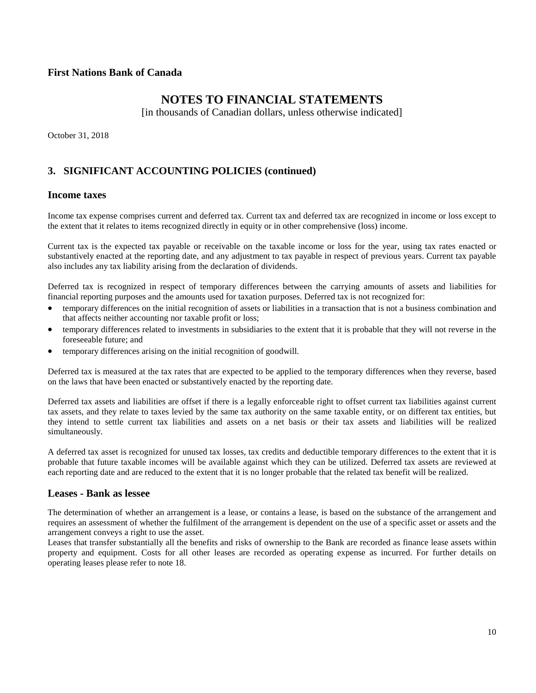## **NOTES TO FINANCIAL STATEMENTS**

[in thousands of Canadian dollars, unless otherwise indicated]

October 31, 2018

## **3. SIGNIFICANT ACCOUNTING POLICIES (continued)**

### **Income taxes**

Income tax expense comprises current and deferred tax. Current tax and deferred tax are recognized in income or loss except to the extent that it relates to items recognized directly in equity or in other comprehensive (loss) income.

Current tax is the expected tax payable or receivable on the taxable income or loss for the year, using tax rates enacted or substantively enacted at the reporting date, and any adjustment to tax payable in respect of previous years. Current tax payable also includes any tax liability arising from the declaration of dividends.

Deferred tax is recognized in respect of temporary differences between the carrying amounts of assets and liabilities for financial reporting purposes and the amounts used for taxation purposes. Deferred tax is not recognized for:

- temporary differences on the initial recognition of assets or liabilities in a transaction that is not a business combination and that affects neither accounting nor taxable profit or loss;
- temporary differences related to investments in subsidiaries to the extent that it is probable that they will not reverse in the foreseeable future; and
- temporary differences arising on the initial recognition of goodwill.

Deferred tax is measured at the tax rates that are expected to be applied to the temporary differences when they reverse, based on the laws that have been enacted or substantively enacted by the reporting date.

Deferred tax assets and liabilities are offset if there is a legally enforceable right to offset current tax liabilities against current tax assets, and they relate to taxes levied by the same tax authority on the same taxable entity, or on different tax entities, but they intend to settle current tax liabilities and assets on a net basis or their tax assets and liabilities will be realized simultaneously.

A deferred tax asset is recognized for unused tax losses, tax credits and deductible temporary differences to the extent that it is probable that future taxable incomes will be available against which they can be utilized. Deferred tax assets are reviewed at each reporting date and are reduced to the extent that it is no longer probable that the related tax benefit will be realized.

#### **Leases - Bank as lessee**

The determination of whether an arrangement is a lease, or contains a lease, is based on the substance of the arrangement and requires an assessment of whether the fulfilment of the arrangement is dependent on the use of a specific asset or assets and the arrangement conveys a right to use the asset.

Leases that transfer substantially all the benefits and risks of ownership to the Bank are recorded as finance lease assets within property and equipment. Costs for all other leases are recorded as operating expense as incurred. For further details on operating leases please refer to note 18.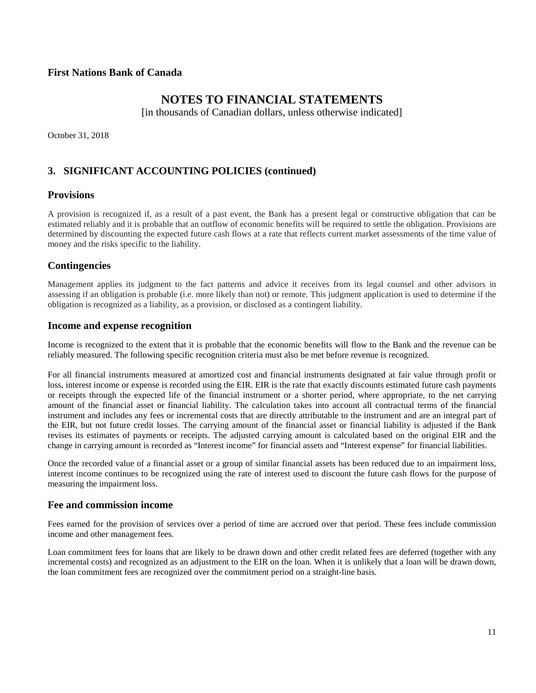## **NOTES TO FINANCIAL STATEMENTS**

[in thousands of Canadian dollars, unless otherwise indicated]

October 31, 2018

## **3. SIGNIFICANT ACCOUNTING POLICIES (continued)**

### **Provisions**

A provision is recognized if, as a result of a past event, the Bank has a present legal or constructive obligation that can be estimated reliably and it is probable that an outflow of economic benefits will be required to settle the obligation. Provisions are determined by discounting the expected future cash flows at a rate that reflects current market assessments of the time value of money and the risks specific to the liability.

### **Contingencies**

Management applies its judgment to the fact patterns and advice it receives from its legal counsel and other advisors in assessing if an obligation is probable (i.e. more likely than not) or remote. This judgment application is used to determine if the obligation is recognized as a liability, as a provision, or disclosed as a contingent liability.

#### **Income and expense recognition**

Income is recognized to the extent that it is probable that the economic benefits will flow to the Bank and the revenue can be reliably measured. The following specific recognition criteria must also be met before revenue is recognized.

For all financial instruments measured at amortized cost and financial instruments designated at fair value through profit or loss, interest income or expense is recorded using the EIR. EIR is the rate that exactly discounts estimated future cash payments or receipts through the expected life of the financial instrument or a shorter period, where appropriate, to the net carrying amount of the financial asset or financial liability. The calculation takes into account all contractual terms of the financial instrument and includes any fees or incremental costs that are directly attributable to the instrument and are an integral part of the EIR, but not future credit losses. The carrying amount of the financial asset or financial liability is adjusted if the Bank revises its estimates of payments or receipts. The adjusted carrying amount is calculated based on the original EIR and the change in carrying amount is recorded as "Interest income" for financial assets and "Interest expense" for financial liabilities.

Once the recorded value of a financial asset or a group of similar financial assets has been reduced due to an impairment loss, interest income continues to be recognized using the rate of interest used to discount the future cash flows for the purpose of measuring the impairment loss.

### **Fee and commission income**

Fees earned for the provision of services over a period of time are accrued over that period. These fees include commission income and other management fees.

Loan commitment fees for loans that are likely to be drawn down and other credit related fees are deferred (together with any incremental costs) and recognized as an adjustment to the EIR on the loan. When it is unlikely that a loan will be drawn down, the loan commitment fees are recognized over the commitment period on a straight-line basis.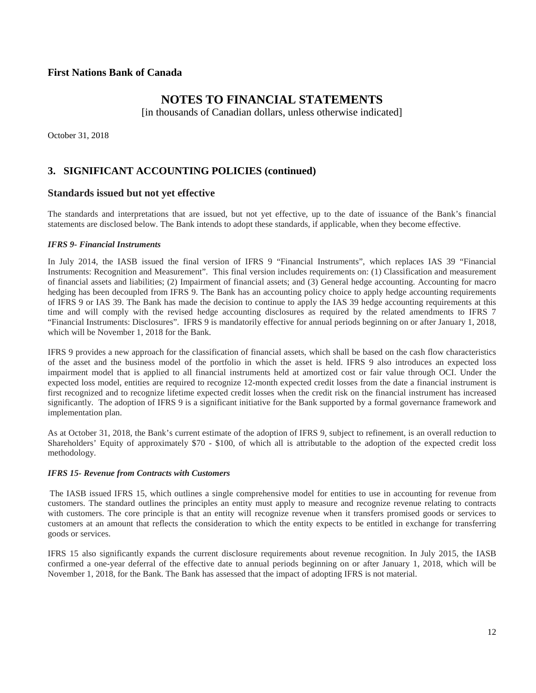## **NOTES TO FINANCIAL STATEMENTS**

[in thousands of Canadian dollars, unless otherwise indicated]

October 31, 2018

## **3. SIGNIFICANT ACCOUNTING POLICIES (continued)**

### **Standards issued but not yet effective**

The standards and interpretations that are issued, but not yet effective, up to the date of issuance of the Bank's financial statements are disclosed below. The Bank intends to adopt these standards, if applicable, when they become effective.

#### *IFRS 9- Financial Instruments*

In July 2014, the IASB issued the final version of IFRS 9 "Financial Instruments", which replaces IAS 39 "Financial Instruments: Recognition and Measurement". This final version includes requirements on: (1) Classification and measurement of financial assets and liabilities; (2) Impairment of financial assets; and (3) General hedge accounting. Accounting for macro hedging has been decoupled from IFRS 9. The Bank has an accounting policy choice to apply hedge accounting requirements of IFRS 9 or IAS 39. The Bank has made the decision to continue to apply the IAS 39 hedge accounting requirements at this time and will comply with the revised hedge accounting disclosures as required by the related amendments to IFRS 7 "Financial Instruments: Disclosures". IFRS 9 is mandatorily effective for annual periods beginning on or after January 1, 2018, which will be November 1, 2018 for the Bank.

IFRS 9 provides a new approach for the classification of financial assets, which shall be based on the cash flow characteristics of the asset and the business model of the portfolio in which the asset is held. IFRS 9 also introduces an expected loss impairment model that is applied to all financial instruments held at amortized cost or fair value through OCI. Under the expected loss model, entities are required to recognize 12-month expected credit losses from the date a financial instrument is first recognized and to recognize lifetime expected credit losses when the credit risk on the financial instrument has increased significantly. The adoption of IFRS 9 is a significant initiative for the Bank supported by a formal governance framework and implementation plan.

As at October 31, 2018, the Bank's current estimate of the adoption of IFRS 9, subject to refinement, is an overall reduction to Shareholders' Equity of approximately \$70 - \$100, of which all is attributable to the adoption of the expected credit loss methodology.

#### *IFRS 15- Revenue from Contracts with Customers*

The IASB issued IFRS 15, which outlines a single comprehensive model for entities to use in accounting for revenue from customers. The standard outlines the principles an entity must apply to measure and recognize revenue relating to contracts with customers. The core principle is that an entity will recognize revenue when it transfers promised goods or services to customers at an amount that reflects the consideration to which the entity expects to be entitled in exchange for transferring goods or services.

IFRS 15 also significantly expands the current disclosure requirements about revenue recognition. In July 2015, the IASB confirmed a one-year deferral of the effective date to annual periods beginning on or after January 1, 2018, which will be November 1, 2018, for the Bank. The Bank has assessed that the impact of adopting IFRS is not material.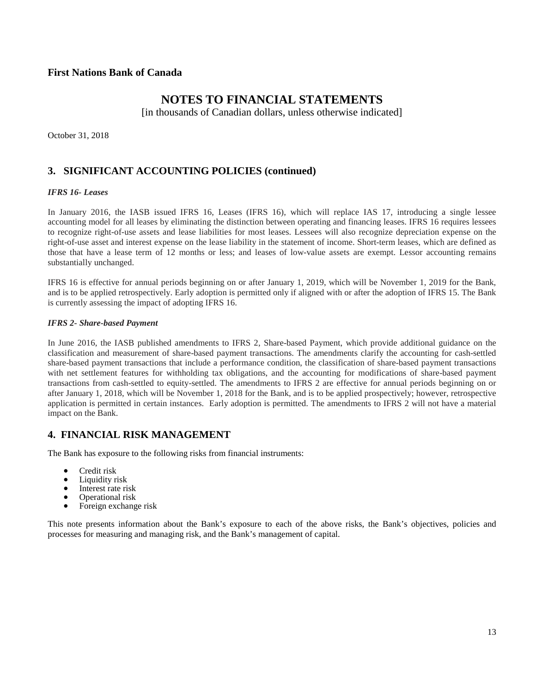## **NOTES TO FINANCIAL STATEMENTS**

[in thousands of Canadian dollars, unless otherwise indicated]

October 31, 2018

## **3. SIGNIFICANT ACCOUNTING POLICIES (continued)**

#### *IFRS 16- Leases*

In January 2016, the IASB issued IFRS 16, Leases (IFRS 16), which will replace IAS 17, introducing a single lessee accounting model for all leases by eliminating the distinction between operating and financing leases. IFRS 16 requires lessees to recognize right-of-use assets and lease liabilities for most leases. Lessees will also recognize depreciation expense on the right-of-use asset and interest expense on the lease liability in the statement of income. Short-term leases, which are defined as those that have a lease term of 12 months or less; and leases of low-value assets are exempt. Lessor accounting remains substantially unchanged.

IFRS 16 is effective for annual periods beginning on or after January 1, 2019, which will be November 1, 2019 for the Bank, and is to be applied retrospectively. Early adoption is permitted only if aligned with or after the adoption of IFRS 15. The Bank is currently assessing the impact of adopting IFRS 16.

#### *IFRS 2- Share-based Payment*

In June 2016, the IASB published amendments to IFRS 2, Share-based Payment, which provide additional guidance on the classification and measurement of share-based payment transactions. The amendments clarify the accounting for cash-settled share-based payment transactions that include a performance condition, the classification of share-based payment transactions with net settlement features for withholding tax obligations, and the accounting for modifications of share-based payment transactions from cash-settled to equity-settled. The amendments to IFRS 2 are effective for annual periods beginning on or after January 1, 2018, which will be November 1, 2018 for the Bank, and is to be applied prospectively; however, retrospective application is permitted in certain instances. Early adoption is permitted. The amendments to IFRS 2 will not have a material impact on the Bank.

### **4. FINANCIAL RISK MANAGEMENT**

The Bank has exposure to the following risks from financial instruments:

- Credit risk<br>• Liquidity risk
- 
- Interest rate risk
- Operational risk<br>• Foreign exchange
- Foreign exchange risk

This note presents information about the Bank's exposure to each of the above risks, the Bank's objectives, policies and processes for measuring and managing risk, and the Bank's management of capital.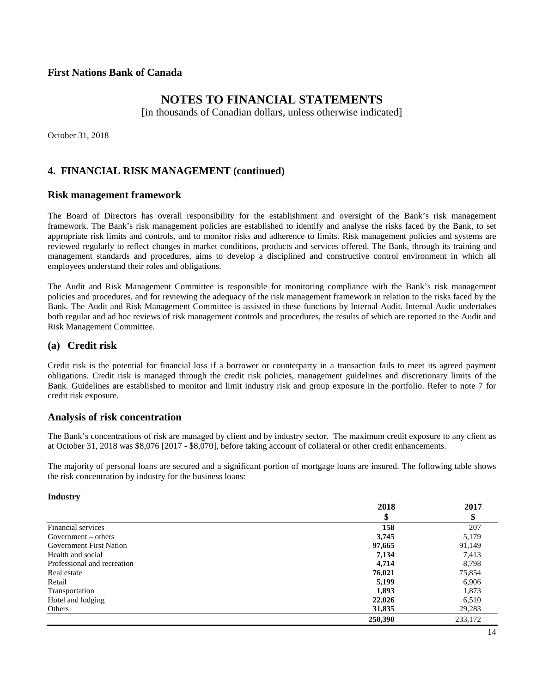## **NOTES TO FINANCIAL STATEMENTS**

[in thousands of Canadian dollars, unless otherwise indicated]

October 31, 2018

## **4. FINANCIAL RISK MANAGEMENT (continued)**

### **Risk management framework**

The Board of Directors has overall responsibility for the establishment and oversight of the Bank's risk management framework. The Bank's risk management policies are established to identify and analyse the risks faced by the Bank, to set appropriate risk limits and controls, and to monitor risks and adherence to limits. Risk management policies and systems are reviewed regularly to reflect changes in market conditions, products and services offered. The Bank, through its training and management standards and procedures, aims to develop a disciplined and constructive control environment in which all employees understand their roles and obligations.

The Audit and Risk Management Committee is responsible for monitoring compliance with the Bank's risk management policies and procedures, and for reviewing the adequacy of the risk management framework in relation to the risks faced by the Bank. The Audit and Risk Management Committee is assisted in these functions by Internal Audit. Internal Audit undertakes both regular and ad hoc reviews of risk management controls and procedures, the results of which are reported to the Audit and Risk Management Committee.

### **(a) Credit risk**

Credit risk is the potential for financial loss if a borrower or counterparty in a transaction fails to meet its agreed payment obligations. Credit risk is managed through the credit risk policies, management guidelines and discretionary limits of the Bank. Guidelines are established to monitor and limit industry risk and group exposure in the portfolio. Refer to note 7 for credit risk exposure.

#### **Analysis of risk concentration**

The Bank's concentrations of risk are managed by client and by industry sector. The maximum credit exposure to any client as at October 31, 2018 was \$8,076 [2017 - \$8,070], before taking account of collateral or other credit enhancements.

The majority of personal loans are secured and a significant portion of mortgage loans are insured. The following table shows the risk concentration by industry for the business loans:

#### **Industry**

|                                | 2018    | 2017    |
|--------------------------------|---------|---------|
|                                | \$      | \$      |
| Financial services             | 158     | 207     |
| Government $-$ others          | 3,745   | 5,179   |
| <b>Government First Nation</b> | 97,665  | 91,149  |
| Health and social              | 7,134   | 7,413   |
| Professional and recreation    | 4,714   | 8,798   |
| Real estate                    | 76,021  | 75,854  |
| Retail                         | 5,199   | 6,906   |
| Transportation                 | 1,893   | 1,873   |
| Hotel and lodging              | 22,026  | 6,510   |
| Others                         | 31,835  | 29,283  |
|                                | 250,390 | 233,172 |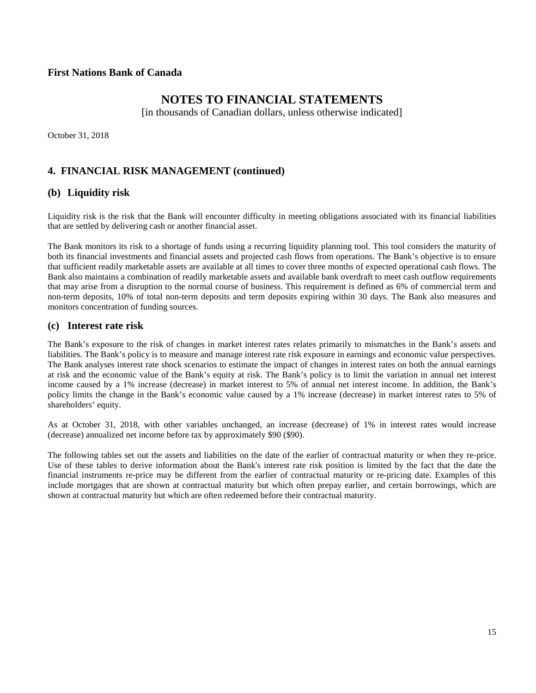## **NOTES TO FINANCIAL STATEMENTS**

[in thousands of Canadian dollars, unless otherwise indicated]

October 31, 2018

## **4. FINANCIAL RISK MANAGEMENT (continued)**

### **(b) Liquidity risk**

Liquidity risk is the risk that the Bank will encounter difficulty in meeting obligations associated with its financial liabilities that are settled by delivering cash or another financial asset.

The Bank monitors its risk to a shortage of funds using a recurring liquidity planning tool. This tool considers the maturity of both its financial investments and financial assets and projected cash flows from operations. The Bank's objective is to ensure that sufficient readily marketable assets are available at all times to cover three months of expected operational cash flows. The Bank also maintains a combination of readily marketable assets and available bank overdraft to meet cash outflow requirements that may arise from a disruption to the normal course of business. This requirement is defined as 6% of commercial term and non-term deposits, 10% of total non-term deposits and term deposits expiring within 30 days. The Bank also measures and monitors concentration of funding sources.

### **(c) Interest rate risk**

The Bank's exposure to the risk of changes in market interest rates relates primarily to mismatches in the Bank's assets and liabilities. The Bank's policy is to measure and manage interest rate risk exposure in earnings and economic value perspectives. The Bank analyses interest rate shock scenarios to estimate the impact of changes in interest rates on both the annual earnings at risk and the economic value of the Bank's equity at risk. The Bank's policy is to limit the variation in annual net interest income caused by a 1% increase (decrease) in market interest to 5% of annual net interest income. In addition, the Bank's policy limits the change in the Bank's economic value caused by a 1% increase (decrease) in market interest rates to 5% of shareholders' equity.

As at October 31, 2018, with other variables unchanged, an increase (decrease) of 1% in interest rates would increase (decrease) annualized net income before tax by approximately \$90 (\$90).

The following tables set out the assets and liabilities on the date of the earlier of contractual maturity or when they re-price. Use of these tables to derive information about the Bank's interest rate risk position is limited by the fact that the date the financial instruments re-price may be different from the earlier of contractual maturity or re-pricing date. Examples of this include mortgages that are shown at contractual maturity but which often prepay earlier, and certain borrowings, which are shown at contractual maturity but which are often redeemed before their contractual maturity.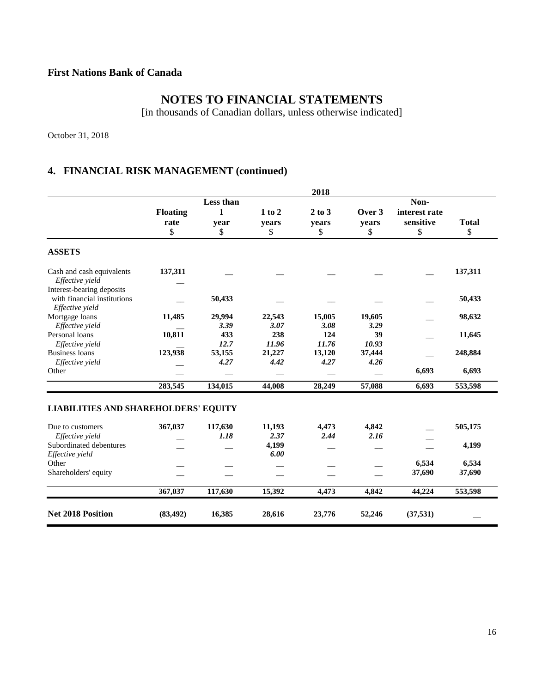## **NOTES TO FINANCIAL STATEMENTS**

[in thousands of Canadian dollars, unless otherwise indicated]

October 31, 2018

## **4. FINANCIAL RISK MANAGEMENT (continued)**

|                                                                             |                         |                 |                 | 2018                |                 |                            |                 |
|-----------------------------------------------------------------------------|-------------------------|-----------------|-----------------|---------------------|-----------------|----------------------------|-----------------|
|                                                                             |                         | Less than       |                 |                     |                 | Non-                       |                 |
|                                                                             | <b>Floating</b><br>rate | 1<br>year       | 1 to 2<br>years | $2$ to $3$<br>years | Over 3<br>years | interest rate<br>sensitive | <b>Total</b>    |
|                                                                             | \$                      | \$              | \$              | \$                  | \$              | \$                         | \$              |
| <b>ASSETS</b>                                                               |                         |                 |                 |                     |                 |                            |                 |
| Cash and cash equivalents<br>Effective yield                                | 137,311                 |                 |                 |                     |                 |                            | 137,311         |
| Interest-bearing deposits<br>with financial institutions<br>Effective vield |                         | 50,433          |                 |                     |                 |                            | 50,433          |
| Mortgage loans<br>Effective yield                                           | 11,485                  | 29,994<br>3.39  | 22,543<br>3.07  | 15,005<br>3.08      | 19,605<br>3.29  |                            | 98,632          |
| Personal loans<br>Effective yield                                           | 10,811                  | 433<br>12.7     | 238<br>11.96    | 124<br>11.76        | 39<br>10.93     |                            | 11,645          |
| <b>Business loans</b><br>Effective yield                                    | 123,938                 | 53,155<br>4.27  | 21,227<br>4.42  | 13,120<br>4.27      | 37,444<br>4.26  |                            | 248,884         |
| Other                                                                       |                         |                 |                 |                     |                 | 6,693                      | 6,693           |
|                                                                             | 283,545                 | 134,015         | 44,008          | 28,249              | 57,088          | 6,693                      | 553,598         |
| <b>LIABILITIES AND SHAREHOLDERS' EQUITY</b>                                 |                         |                 |                 |                     |                 |                            |                 |
| Due to customers<br>Effective yield                                         | 367,037                 | 117,630<br>1.18 | 11,193<br>2.37  | 4,473<br>2.44       | 4,842<br>2.16   |                            | 505,175         |
| Subordinated debentures<br>Effective yield                                  |                         |                 | 4,199<br>6.00   |                     |                 |                            | 4,199           |
| Other<br>Shareholders' equity                                               |                         |                 |                 |                     |                 | 6,534<br>37,690            | 6,534<br>37,690 |
|                                                                             | 367,037                 | 117,630         | 15,392          | 4,473               | 4,842           | 44,224                     | 553,598         |
| <b>Net 2018 Position</b>                                                    | (83, 492)               | 16,385          | 28,616          | 23,776              | 52,246          | (37, 531)                  |                 |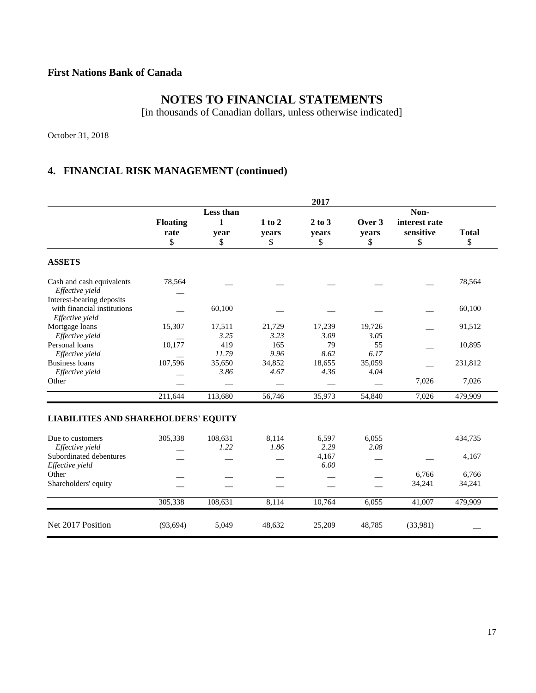## **NOTES TO FINANCIAL STATEMENTS**

[in thousands of Canadian dollars, unless otherwise indicated]

October 31, 2018

## **4. FINANCIAL RISK MANAGEMENT (continued)**

|                                             |                 |           |        | 2017       |        |               |              |
|---------------------------------------------|-----------------|-----------|--------|------------|--------|---------------|--------------|
|                                             |                 | Less than |        |            |        | Non-          |              |
|                                             | <b>Floating</b> | 1         | 1 to 2 | $2$ to $3$ | Over 3 | interest rate |              |
|                                             | rate            | year      | years  | years      | years  | sensitive     | <b>Total</b> |
|                                             | \$              | \$        | \$     | \$         | \$     | \$            | \$           |
| <b>ASSETS</b>                               |                 |           |        |            |        |               |              |
| Cash and cash equivalents                   | 78,564          |           |        |            |        |               | 78,564       |
| Effective yield                             |                 |           |        |            |        |               |              |
| Interest-bearing deposits                   |                 |           |        |            |        |               |              |
| with financial institutions                 |                 | 60,100    |        |            |        |               | 60,100       |
| Effective yield                             |                 |           |        |            |        |               |              |
| Mortgage loans                              | 15,307          | 17,511    | 21.729 | 17,239     | 19.726 |               | 91,512       |
| Effective yield                             |                 | 3.25      | 3.23   | 3.09       | 3.05   |               |              |
| Personal loans                              | 10,177          | 419       | 165    | 79         | 55     |               | 10,895       |
| Effective yield                             |                 | 11.79     | 9.96   | 8.62       | 6.17   |               |              |
| <b>Business loans</b>                       | 107,596         | 35,650    | 34,852 | 18,655     | 35,059 |               | 231,812      |
| Effective yield<br>Other                    |                 | 3.86      | 4.67   | 4.36       | 4.04   | 7,026         | 7,026        |
|                                             |                 |           |        |            |        |               |              |
|                                             | 211,644         | 113,680   | 56,746 | 35,973     | 54,840 | 7,026         | 479,909      |
| <b>LIABILITIES AND SHAREHOLDERS' EQUITY</b> |                 |           |        |            |        |               |              |
| Due to customers                            | 305,338         | 108,631   | 8,114  | 6,597      | 6,055  |               | 434,735      |
| Effective vield                             |                 | 1.22      | 1.86   | 2.29       | 2.08   |               |              |
| Subordinated debentures                     |                 |           |        | 4,167      |        |               | 4,167        |
| Effective yield                             |                 |           |        | 6.00       |        |               |              |
| Other                                       |                 |           |        |            |        | 6,766         | 6,766        |
| Shareholders' equity                        |                 |           |        |            |        | 34,241        | 34,241       |
|                                             | 305,338         | 108,631   | 8,114  | 10,764     | 6,055  | 41,007        | 479,909      |
| Net 2017 Position                           | (93, 694)       | 5,049     | 48,632 | 25,209     | 48,785 | (33,981)      |              |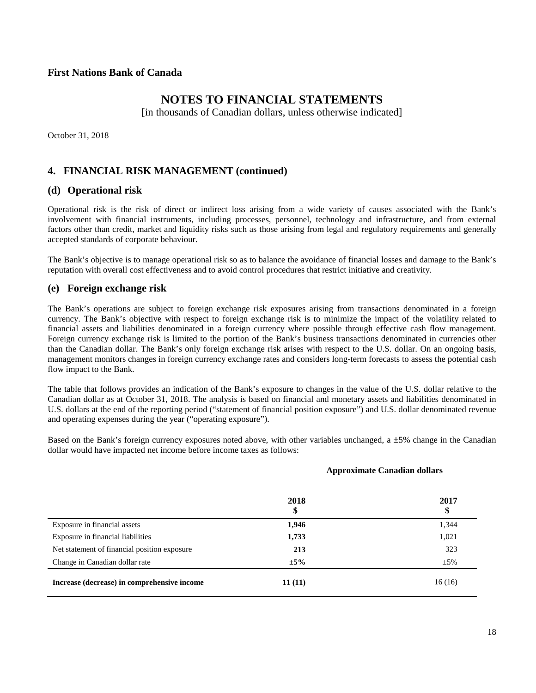## **NOTES TO FINANCIAL STATEMENTS**

[in thousands of Canadian dollars, unless otherwise indicated]

October 31, 2018

## **4. FINANCIAL RISK MANAGEMENT (continued)**

### **(d) Operational risk**

Operational risk is the risk of direct or indirect loss arising from a wide variety of causes associated with the Bank's involvement with financial instruments, including processes, personnel, technology and infrastructure, and from external factors other than credit, market and liquidity risks such as those arising from legal and regulatory requirements and generally accepted standards of corporate behaviour.

The Bank's objective is to manage operational risk so as to balance the avoidance of financial losses and damage to the Bank's reputation with overall cost effectiveness and to avoid control procedures that restrict initiative and creativity.

### **(e) Foreign exchange risk**

The Bank's operations are subject to foreign exchange risk exposures arising from transactions denominated in a foreign currency. The Bank's objective with respect to foreign exchange risk is to minimize the impact of the volatility related to financial assets and liabilities denominated in a foreign currency where possible through effective cash flow management. Foreign currency exchange risk is limited to the portion of the Bank's business transactions denominated in currencies other than the Canadian dollar. The Bank's only foreign exchange risk arises with respect to the U.S. dollar. On an ongoing basis, management monitors changes in foreign currency exchange rates and considers long-term forecasts to assess the potential cash flow impact to the Bank.

The table that follows provides an indication of the Bank's exposure to changes in the value of the U.S. dollar relative to the Canadian dollar as at October 31, 2018. The analysis is based on financial and monetary assets and liabilities denominated in U.S. dollars at the end of the reporting period ("statement of financial position exposure") and U.S. dollar denominated revenue and operating expenses during the year ("operating exposure").

Based on the Bank's foreign currency exposures noted above, with other variables unchanged, a ±5% change in the Canadian dollar would have impacted net income before income taxes as follows:

|                                              | 2018<br>\$ | 2017<br>\$ |
|----------------------------------------------|------------|------------|
| Exposure in financial assets                 | 1,946      | 1,344      |
| Exposure in financial liabilities            | 1,733      | 1,021      |
| Net statement of financial position exposure | 213        | 323        |
| Change in Canadian dollar rate               | $\pm 5\%$  | $\pm 5\%$  |
| Increase (decrease) in comprehensive income  | 11(11)     | 16(16)     |

#### **Approximate Canadian dollars**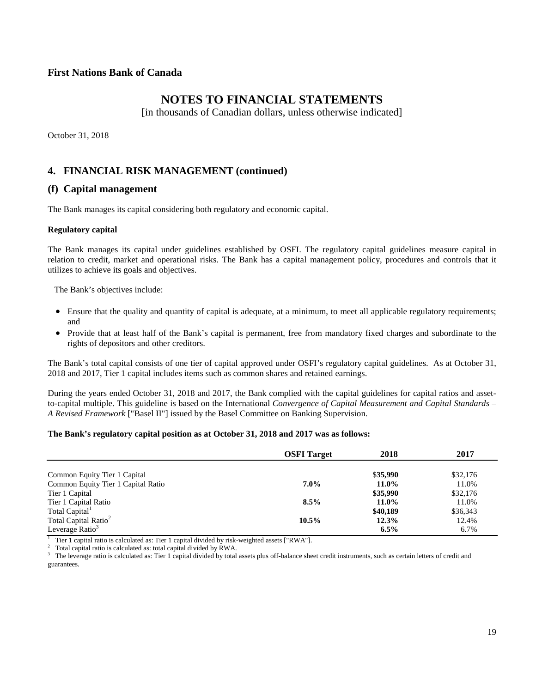## **NOTES TO FINANCIAL STATEMENTS**

[in thousands of Canadian dollars, unless otherwise indicated]

October 31, 2018

## **4. FINANCIAL RISK MANAGEMENT (continued)**

#### **(f) Capital management**

The Bank manages its capital considering both regulatory and economic capital.

#### **Regulatory capital**

The Bank manages its capital under guidelines established by OSFI. The regulatory capital guidelines measure capital in relation to credit, market and operational risks. The Bank has a capital management policy, procedures and controls that it utilizes to achieve its goals and objectives.

The Bank's objectives include:

- Ensure that the quality and quantity of capital is adequate, at a minimum, to meet all applicable regulatory requirements; and
- Provide that at least half of the Bank's capital is permanent, free from mandatory fixed charges and subordinate to the rights of depositors and other creditors.

The Bank's total capital consists of one tier of capital approved under OSFI's regulatory capital guidelines. As at October 31, 2018 and 2017, Tier 1 capital includes items such as common shares and retained earnings.

During the years ended October 31, 2018 and 2017, the Bank complied with the capital guidelines for capital ratios and assetto-capital multiple. This guideline is based on the International *Convergence of Capital Measurement and Capital Standards – A Revised Framework* ["Basel II"] issued by the Basel Committee on Banking Supervision.

#### **The Bank's regulatory capital position as at October 31, 2018 and 2017 was as follows:**

|                                    | <b>OSFI</b> Target | 2018     | 2017     |
|------------------------------------|--------------------|----------|----------|
|                                    |                    |          |          |
| Common Equity Tier 1 Capital       |                    | \$35,990 | \$32,176 |
| Common Equity Tier 1 Capital Ratio | $7.0\%$            | $11.0\%$ | 11.0%    |
| Tier 1 Capital                     |                    | \$35,990 | \$32,176 |
| Tier 1 Capital Ratio               | 8.5%               | $11.0\%$ | 11.0%    |
| Total Capital <sup>1</sup>         |                    | \$40,189 | \$36,343 |
| Total Capital Ratio <sup>2</sup>   | $10.5\%$           | 12.3%    | 12.4%    |
| Leverage Ratio <sup>3</sup>        |                    | $6.5\%$  | 6.7%     |

1 Tier 1 capital ratio is calculated as: Tier 1 capital divided by risk-weighted assets ["RWA"].

2 Total capital ratio is calculated as: total capital divided by RWA. <sup>3</sup>

 The leverage ratio is calculated as: Tier 1 capital divided by total assets plus off-balance sheet credit instruments, such as certain letters of credit and guarantees.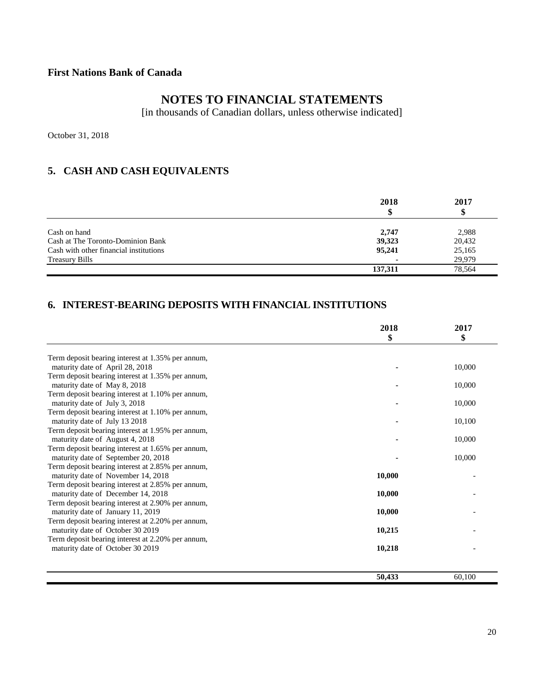## **NOTES TO FINANCIAL STATEMENTS**

[in thousands of Canadian dollars, unless otherwise indicated]

October 31, 2018

# **5. CASH AND CASH EQUIVALENTS**

|                                        | 2018    | 2017   |
|----------------------------------------|---------|--------|
|                                        |         |        |
| Cash on hand                           | 2.747   | 2,988  |
| Cash at The Toronto-Dominion Bank      | 39,323  | 20,432 |
| Cash with other financial institutions | 95,241  | 25,165 |
| <b>Treasury Bills</b>                  |         | 29,979 |
|                                        | 137,311 | 78,564 |

## **6. INTEREST-BEARING DEPOSITS WITH FINANCIAL INSTITUTIONS**

|                                                                                          | 2018<br>\$ | 2017<br>\$ |
|------------------------------------------------------------------------------------------|------------|------------|
|                                                                                          |            |            |
| Term deposit bearing interest at 1.35% per annum,<br>maturity date of April 28, 2018     |            | 10,000     |
| Term deposit bearing interest at 1.35% per annum,                                        |            |            |
| maturity date of May 8, 2018                                                             |            | 10,000     |
| Term deposit bearing interest at 1.10% per annum,                                        |            |            |
| maturity date of July 3, 2018                                                            |            | 10.000     |
| Term deposit bearing interest at 1.10% per annum,                                        |            |            |
| maturity date of July 13 2018                                                            |            | 10,100     |
| Term deposit bearing interest at 1.95% per annum,                                        |            |            |
| maturity date of August 4, 2018                                                          |            | 10,000     |
| Term deposit bearing interest at 1.65% per annum,<br>maturity date of September 20, 2018 |            | 10,000     |
| Term deposit bearing interest at 2.85% per annum,                                        |            |            |
| maturity date of November 14, 2018                                                       | 10,000     |            |
| Term deposit bearing interest at 2.85% per annum,                                        |            |            |
| maturity date of December 14, 2018                                                       | 10,000     |            |
| Term deposit bearing interest at 2.90% per annum,                                        |            |            |
| maturity date of January 11, 2019                                                        | 10,000     |            |
| Term deposit bearing interest at 2.20% per annum,                                        |            |            |
| maturity date of October 30 2019                                                         | 10,215     |            |
| Term deposit bearing interest at 2.20% per annum,<br>maturity date of October 30 2019    | 10,218     |            |
|                                                                                          |            |            |
|                                                                                          |            |            |
|                                                                                          | 50,433     | 60,100     |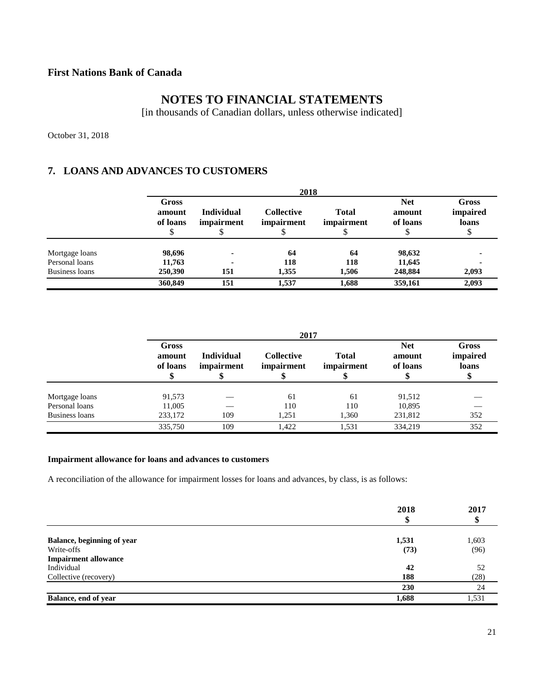## **NOTES TO FINANCIAL STATEMENTS**

[in thousands of Canadian dollars, unless otherwise indicated]

October 31, 2018

## **7. LOANS AND ADVANCES TO CUSTOMERS**

|                |                             | 2018                            |                                 |                            |                                  |                                         |
|----------------|-----------------------------|---------------------------------|---------------------------------|----------------------------|----------------------------------|-----------------------------------------|
|                | Gross<br>amount<br>of loans | <b>Individual</b><br>impairment | <b>Collective</b><br>impairment | <b>Total</b><br>impairment | <b>Net</b><br>amount<br>of loans | <b>Gross</b><br>impaired<br>loans<br>\$ |
| Mortgage loans | 98,696                      |                                 | 64                              | 64                         | 98,632                           |                                         |
| Personal loans | 11,763                      |                                 | 118                             | 118                        | 11,645                           |                                         |
| Business loans | 250,390                     | 151                             | 1,355                           | 1,506                      | 248,884                          | 2,093                                   |
|                | 360,849                     | 151                             | 1,537                           | 1,688                      | 359,161                          | 2,093                                   |

|                |                                    | 2017                            |                                 |                            |                                  |                                  |
|----------------|------------------------------------|---------------------------------|---------------------------------|----------------------------|----------------------------------|----------------------------------|
|                | <b>Gross</b><br>amount<br>of loans | <b>Individual</b><br>impairment | <b>Collective</b><br>impairment | <b>Total</b><br>impairment | <b>Net</b><br>amount<br>of loans | Gross<br>impaired<br>loans<br>\$ |
| Mortgage loans | 91,573                             | __                              | 61                              | 61                         | 91,512                           |                                  |
| Personal loans | 11,005                             |                                 | 110                             | 110                        | 10,895                           |                                  |
| Business loans | 233,172                            | 109                             | 1,251                           | 1,360                      | 231,812                          | 352                              |
|                | 335,750                            | 109                             | 1.422                           | 1,531                      | 334,219                          | 352                              |

#### **Impairment allowance for loans and advances to customers**

A reconciliation of the allowance for impairment losses for loans and advances, by class, is as follows:

|                             | 2018<br>\$ | 2017<br>Φ |
|-----------------------------|------------|-----------|
| Balance, beginning of year  | 1,531      | 1,603     |
| Write-offs                  | (73)       | (96)      |
| <b>Impairment allowance</b> |            |           |
| Individual                  | 42         | 52        |
| Collective (recovery)       | 188        | (28)      |
|                             | 230        | 24        |
| Balance, end of year        | 1,688      | 1,531     |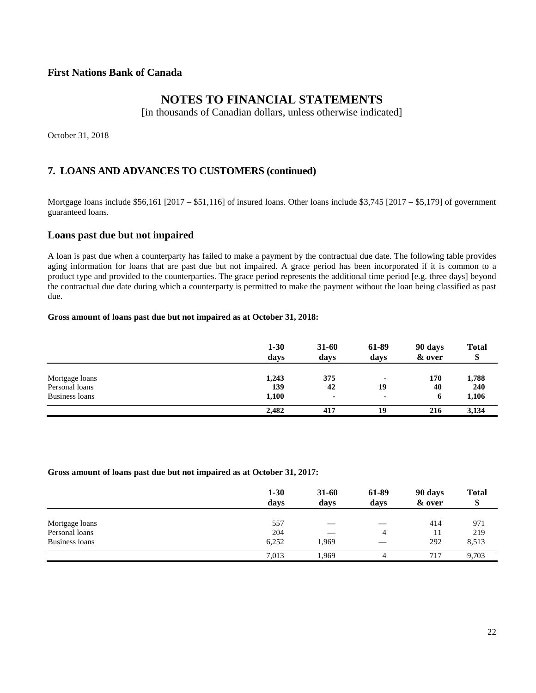## **NOTES TO FINANCIAL STATEMENTS**

[in thousands of Canadian dollars, unless otherwise indicated]

October 31, 2018

## **7. LOANS AND ADVANCES TO CUSTOMERS (continued)**

Mortgage loans include \$56,161 [2017 – \$51,116] of insured loans. Other loans include \$3,745 [2017 – \$5,179] of government guaranteed loans.

### **Loans past due but not impaired**

A loan is past due when a counterparty has failed to make a payment by the contractual due date. The following table provides aging information for loans that are past due but not impaired. A grace period has been incorporated if it is common to a product type and provided to the counterparties. The grace period represents the additional time period [e.g. three days] beyond the contractual due date during which a counterparty is permitted to make the payment without the loan being classified as past due.

#### **Gross amount of loans past due but not impaired as at October 31, 2018:**

|                | $1 - 30$<br>days | 31-60<br>days | 61-89<br>days | 90 days<br>& over | <b>Total</b> |
|----------------|------------------|---------------|---------------|-------------------|--------------|
| Mortgage loans | 1,243            | 375           | -             | 170               | 1,788        |
| Personal loans | 139              | 42            | 19            | 40                | 240          |
| Business loans | 1,100            | ۰             | -             | 6                 | 1,106        |
|                | 2,482            | 417           | 19            | 216               | 3,134        |

#### **Gross amount of loans past due but not impaired as at October 31, 2017:**

|                | $1 - 30$<br>days | $31 - 60$<br>days | 61-89<br>days  | 90 days<br>& over | <b>Total</b> |
|----------------|------------------|-------------------|----------------|-------------------|--------------|
|                |                  |                   |                |                   |              |
| Mortgage loans | 557              |                   |                | 414               | 971          |
| Personal loans | 204              | ---               | 4              | 11                | 219          |
| Business loans | 6,252            | 1,969             | ——             | 292               | 8,513        |
|                | 7.013            | 1,969             | $\overline{A}$ | 717               | 9,703        |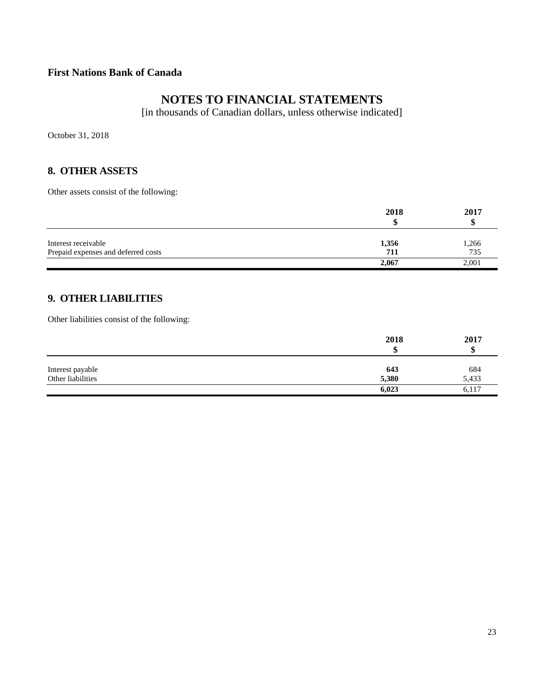## **NOTES TO FINANCIAL STATEMENTS**

[in thousands of Canadian dollars, unless otherwise indicated]

October 31, 2018

## **8. OTHER ASSETS**

Other assets consist of the following:

|                                     | 2018  | 2017  |
|-------------------------------------|-------|-------|
| Interest receivable                 | 1,356 | 1,266 |
| Prepaid expenses and deferred costs | 711   | 735   |
|                                     | 2,067 | 2,001 |

## **9. OTHER LIABILITIES**

Other liabilities consist of the following:

|                                       | 2018<br>ΔD   | 2017         |
|---------------------------------------|--------------|--------------|
| Interest payable<br>Other liabilities | 643<br>5,380 | 684<br>5,433 |
|                                       | 6,023        | 6,117        |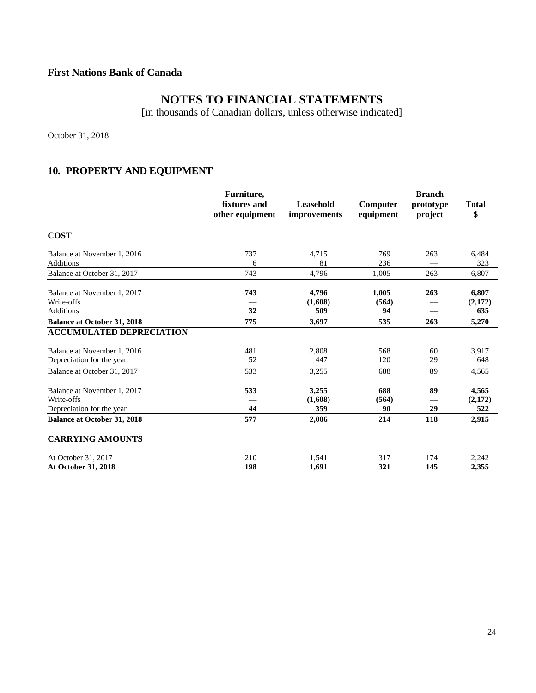## **NOTES TO FINANCIAL STATEMENTS**

[in thousands of Canadian dollars, unless otherwise indicated]

October 31, 2018

## **10. PROPERTY AND EQUIPMENT**

|                                    | Furniture,      |                     |           | <b>Branch</b>            |              |
|------------------------------------|-----------------|---------------------|-----------|--------------------------|--------------|
|                                    | fixtures and    | Leasehold           | Computer  | prototype                | <b>Total</b> |
|                                    | other equipment | <i>improvements</i> | equipment | project                  | \$           |
| <b>COST</b>                        |                 |                     |           |                          |              |
| Balance at November 1, 2016        | 737             | 4,715               | 769       | 263                      | 6,484        |
| Additions                          | 6               | 81                  | 236       | $\overline{\phantom{m}}$ | 323          |
| Balance at October 31, 2017        | 743             | 4,796               | 1,005     | 263                      | 6,807        |
| Balance at November 1, 2017        | 743             | 4,796               | 1,005     | 263                      | 6,807        |
| Write-offs                         |                 | (1,608)             | (564)     |                          | (2,172)      |
| <b>Additions</b>                   | 32              | 509                 | 94        |                          | 635          |
| <b>Balance at October 31, 2018</b> | 775             | 3,697               | 535       | 263                      | 5,270        |
| <b>ACCUMULATED DEPRECIATION</b>    |                 |                     |           |                          |              |
| Balance at November 1, 2016        | 481             | 2,808               | 568       | 60                       | 3,917        |
| Depreciation for the year          | 52              | 447                 | 120       | 29                       | 648          |
| Balance at October 31, 2017        | 533             | 3,255               | 688       | 89                       | 4,565        |
| Balance at November 1, 2017        | 533             | 3,255               | 688       | 89                       | 4,565        |
| Write-offs                         |                 | (1,608)             | (564)     |                          | (2,172)      |
| Depreciation for the year          | 44              | 359                 | 90        | 29                       | 522          |
| <b>Balance at October 31, 2018</b> | 577             | 2,006               | 214       | 118                      | 2,915        |
| <b>CARRYING AMOUNTS</b>            |                 |                     |           |                          |              |
| At October 31, 2017                | 210             | 1.541               | 317       | 174                      | 2,242        |
| At October 31, 2018                | 198             | 1,691               | 321       | 145                      | 2,355        |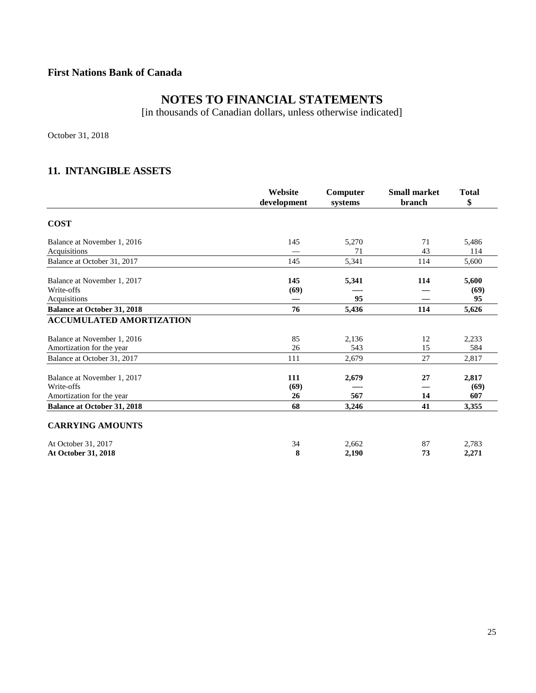## **NOTES TO FINANCIAL STATEMENTS**

[in thousands of Canadian dollars, unless otherwise indicated]

October 31, 2018

## **11. INTANGIBLE ASSETS**

|                                                                        | Website<br>development | Computer<br>systems | <b>Small market</b><br>branch | <b>Total</b><br>\$   |
|------------------------------------------------------------------------|------------------------|---------------------|-------------------------------|----------------------|
| <b>COST</b>                                                            |                        |                     |                               |                      |
| Balance at November 1, 2016<br>Acquisitions                            | 145                    | 5,270<br>71         | 71<br>43                      | 5,486<br>114         |
| Balance at October 31, 2017                                            | 145                    | 5,341               | 114                           | 5.600                |
| Balance at November 1, 2017<br>Write-offs<br>Acquisitions              | 145<br>(69)            | 5,341<br>95         | 114                           | 5,600<br>(69)<br>95  |
| <b>Balance at October 31, 2018</b>                                     | 76                     | 5,436               | 114                           | 5,626                |
| <b>ACCUMULATED AMORTIZATION</b>                                        |                        |                     |                               |                      |
| Balance at November 1, 2016<br>Amortization for the year               | 85<br>26               | 2,136<br>543        | 12<br>15                      | 2,233<br>584         |
| Balance at October 31, 2017                                            | 111                    | 2,679               | 27                            | 2,817                |
| Balance at November 1, 2017<br>Write-offs<br>Amortization for the year | 111<br>(69)<br>26      | 2,679<br>567        | 27<br>14                      | 2,817<br>(69)<br>607 |
| <b>Balance at October 31, 2018</b>                                     | 68                     | 3,246               | 41                            | 3,355                |
| <b>CARRYING AMOUNTS</b>                                                |                        |                     |                               |                      |
| At October 31, 2017<br>At October 31, 2018                             | 34<br>8                | 2,662<br>2,190      | 87<br>73                      | 2,783<br>2,271       |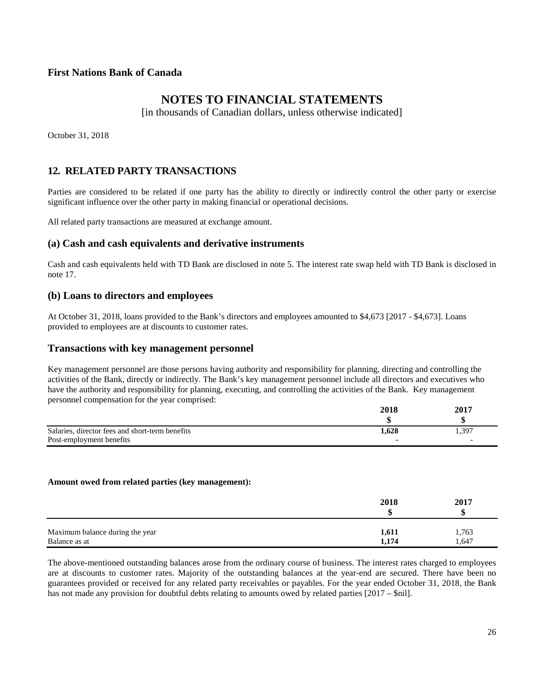## **NOTES TO FINANCIAL STATEMENTS**

[in thousands of Canadian dollars, unless otherwise indicated]

October 31, 2018

## **12. RELATED PARTY TRANSACTIONS**

Parties are considered to be related if one party has the ability to directly or indirectly control the other party or exercise significant influence over the other party in making financial or operational decisions.

All related party transactions are measured at exchange amount.

### **(a) Cash and cash equivalents and derivative instruments**

Cash and cash equivalents held with TD Bank are disclosed in note 5. The interest rate swap held with TD Bank is disclosed in note 17.

### **(b) Loans to directors and employees**

At October 31, 2018, loans provided to the Bank's directors and employees amounted to \$4,673 [2017 - \$4,673]. Loans provided to employees are at discounts to customer rates.

#### **Transactions with key management personnel**

Key management personnel are those persons having authority and responsibility for planning, directing and controlling the activities of the Bank, directly or indirectly. The Bank's key management personnel include all directors and executives who have the authority and responsibility for planning, executing, and controlling the activities of the Bank. Key management personnel compensation for the year comprised:

|                                                 | <b>2018</b> | 2017                     |
|-------------------------------------------------|-------------|--------------------------|
|                                                 |             |                          |
| Salaries, director fees and short-term benefits | 1.628       | 1,397                    |
| Post-employment benefits                        |             | $\overline{\phantom{0}}$ |

#### **Amount owed from related parties (key management):**

|                                 | 2018<br>S | 2017  |
|---------------------------------|-----------|-------|
| Maximum balance during the year | 1,611     | 1,763 |
| Balance as at                   | 1,174     | 1,647 |

The above-mentioned outstanding balances arose from the ordinary course of business. The interest rates charged to employees are at discounts to customer rates. Majority of the outstanding balances at the year-end are secured. There have been no guarantees provided or received for any related party receivables or payables. For the year ended October 31, 2018, the Bank has not made any provision for doubtful debts relating to amounts owed by related parties [2017 – \$nil].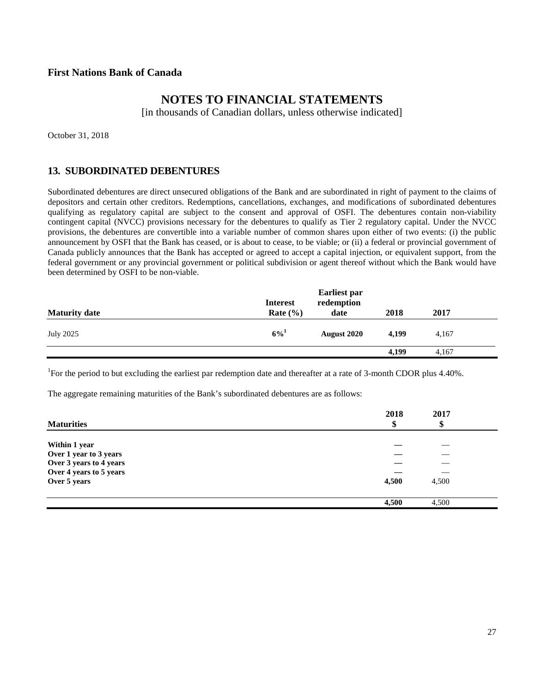## **NOTES TO FINANCIAL STATEMENTS**

[in thousands of Canadian dollars, unless otherwise indicated]

October 31, 2018

### **13. SUBORDINATED DEBENTURES**

Subordinated debentures are direct unsecured obligations of the Bank and are subordinated in right of payment to the claims of depositors and certain other creditors. Redemptions, cancellations, exchanges, and modifications of subordinated debentures qualifying as regulatory capital are subject to the consent and approval of OSFI. The debentures contain non-viability contingent capital (NVCC) provisions necessary for the debentures to qualify as Tier 2 regulatory capital. Under the NVCC provisions, the debentures are convertible into a variable number of common shares upon either of two events: (i) the public announcement by OSFI that the Bank has ceased, or is about to cease, to be viable; or (ii) a federal or provincial government of Canada publicly announces that the Bank has accepted or agreed to accept a capital injection, or equivalent support, from the federal government or any provincial government or political subdivision or agent thereof without which the Bank would have been determined by OSFI to be non-viable.

| <b>Maturity date</b> | <b>Interest</b><br>Rate $(\% )$ | <b>Earliest par</b><br>redemption<br>date | 2018  | 2017  |  |
|----------------------|---------------------------------|-------------------------------------------|-------|-------|--|
| July 2025            | $6\%$ <sup>1</sup>              | August 2020                               | 4.199 | 4.167 |  |
|                      |                                 |                                           | 4,199 | 4.167 |  |

<sup>1</sup>For the period to but excluding the earliest par redemption date and thereafter at a rate of 3-month CDOR plus 4.40%.

The aggregate remaining maturities of the Bank's subordinated debentures are as follows:

| <b>Maturities</b>       | 2018<br>\$ | 2017<br>¢<br>Ф |  |
|-------------------------|------------|----------------|--|
|                         |            |                |  |
| Within 1 year           |            | ---            |  |
| Over 1 year to 3 years  |            |                |  |
| Over 3 years to 4 years |            | ——             |  |
| Over 4 years to 5 years |            |                |  |
| Over 5 years            | 4,500      | 4,500          |  |
|                         |            |                |  |
|                         | 4,500      | 4,500          |  |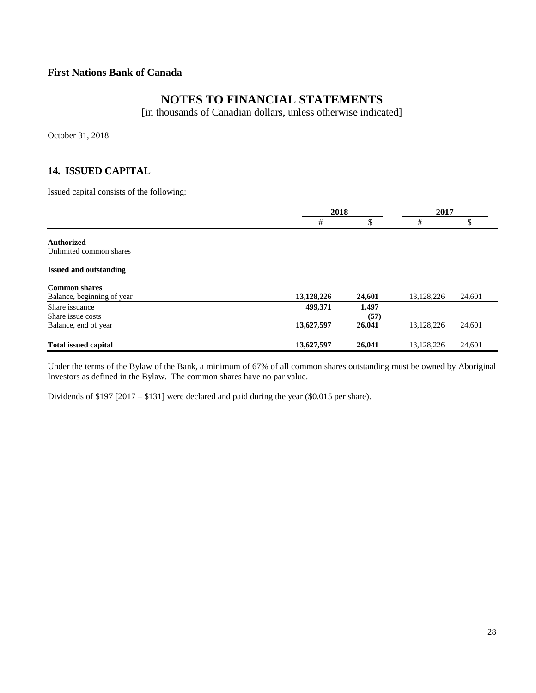## **NOTES TO FINANCIAL STATEMENTS**

[in thousands of Canadian dollars, unless otherwise indicated]

October 31, 2018

## **14. ISSUED CAPITAL**

Issued capital consists of the following:

|                               | 2018       |        | 2017       |        |
|-------------------------------|------------|--------|------------|--------|
|                               | #          | \$     | #          | \$     |
| <b>Authorized</b>             |            |        |            |        |
| Unlimited common shares       |            |        |            |        |
| <b>Issued and outstanding</b> |            |        |            |        |
| <b>Common shares</b>          |            |        |            |        |
| Balance, beginning of year    | 13,128,226 | 24,601 | 13,128,226 | 24,601 |
| Share issuance                | 499,371    | 1,497  |            |        |
| Share issue costs             |            | (57)   |            |        |
| Balance, end of year          | 13,627,597 | 26,041 | 13,128,226 | 24,601 |
| <b>Total issued capital</b>   | 13,627,597 | 26,041 | 13,128,226 | 24,601 |

Under the terms of the Bylaw of the Bank, a minimum of 67% of all common shares outstanding must be owned by Aboriginal Investors as defined in the Bylaw. The common shares have no par value.

Dividends of \$197 [2017 – \$131] were declared and paid during the year (\$0.015 per share).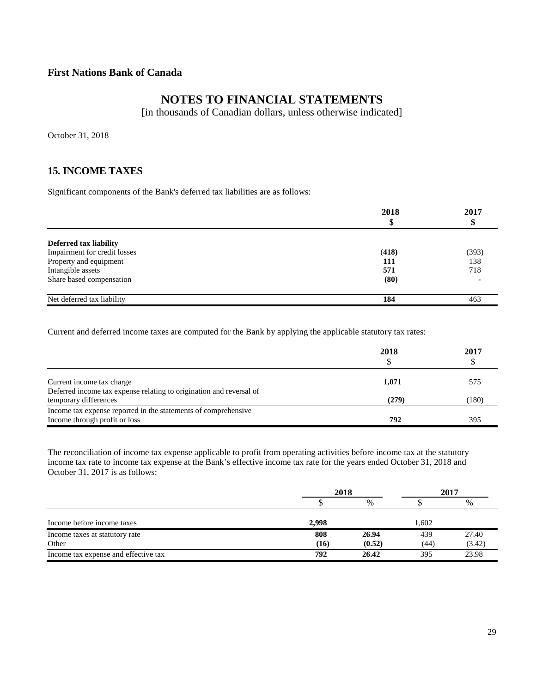## **NOTES TO FINANCIAL STATEMENTS**

[in thousands of Canadian dollars, unless otherwise indicated]

October 31, 2018

## **15. INCOME TAXES**

Significant components of the Bank's deferred tax liabilities are as follows:

|                               | 2018  | 2017  |
|-------------------------------|-------|-------|
| <b>Deferred tax liability</b> |       |       |
| Impairment for credit losses  | (418) | (393) |
| Property and equipment        | 111   | 138   |
| Intangible assets             | 571   | 718   |
| Share based compensation      | (80)  |       |
| Net deferred tax liability    | 184   | 463   |

Current and deferred income taxes are computed for the Bank by applying the applicable statutory tax rates:

|                                                                                                  | 2018<br>S | 2017  |
|--------------------------------------------------------------------------------------------------|-----------|-------|
| Current income tax charge<br>Deferred income tax expense relating to origination and reversal of | 1.071     | 575   |
| temporary differences                                                                            | (279)     | (180) |
| Income tax expense reported in the statements of comprehensive<br>Income through profit or loss  | 792       | 395   |

The reconciliation of income tax expense applicable to profit from operating activities before income tax at the statutory income tax rate to income tax expense at the Bank's effective income tax rate for the years ended October 31, 2018 and October 31, 2017 is as follows:

|                                      | 2018  |        |       | 2017   |
|--------------------------------------|-------|--------|-------|--------|
|                                      |       | $\%$   |       | $\%$   |
| Income before income taxes           | 2,998 |        | 1.602 |        |
| Income taxes at statutory rate       | 808   | 26.94  | 439   | 27.40  |
| Other                                | (16)  | (0.52) | (44)  | (3.42) |
| Income tax expense and effective tax | 792   | 26.42  | 395   | 23.98  |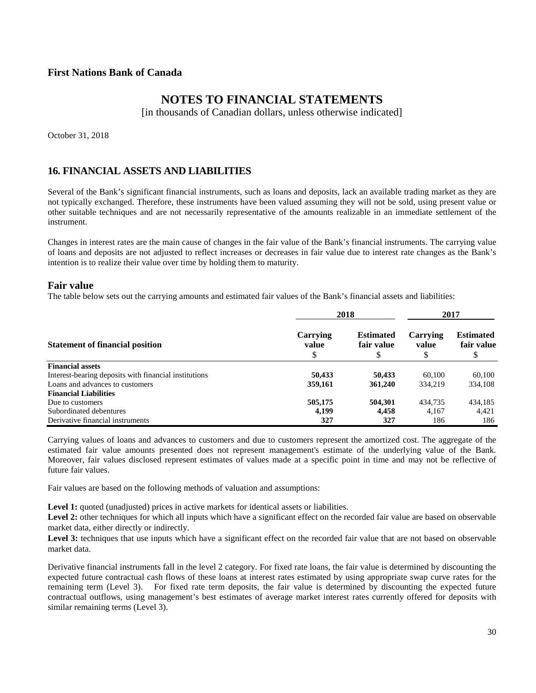## **NOTES TO FINANCIAL STATEMENTS**

[in thousands of Canadian dollars, unless otherwise indicated]

October 31, 2018

## **16. FINANCIAL ASSETS AND LIABILITIES**

Several of the Bank's significant financial instruments, such as loans and deposits, lack an available trading market as they are not typically exchanged. Therefore, these instruments have been valued assuming they will not be sold, using present value or other suitable techniques and are not necessarily representative of the amounts realizable in an immediate settlement of the instrument.

Changes in interest rates are the main cause of changes in the fair value of the Bank's financial instruments. The carrying value of loans and deposits are not adjusted to reflect increases or decreases in fair value due to interest rate changes as the Bank's intention is to realize their value over time by holding them to maturity.

### **Fair value**

The table below sets out the carrying amounts and estimated fair values of the Bank's financial assets and liabilities:

|                                                       |                         | 2018                                |                         |                                |
|-------------------------------------------------------|-------------------------|-------------------------------------|-------------------------|--------------------------------|
| <b>Statement of financial position</b>                | Carrying<br>value<br>\$ | <b>Estimated</b><br>fair value<br>Ф | Carrying<br>value<br>\$ | <b>Estimated</b><br>fair value |
| <b>Financial assets</b>                               |                         |                                     |                         |                                |
| Interest-bearing deposits with financial institutions | 50.433                  | 50.433                              | 60.100                  | 60.100                         |
| Loans and advances to customers                       | 359,161                 | 361,240                             | 334.219                 | 334,108                        |
| <b>Financial Liabilities</b>                          |                         |                                     |                         |                                |
| Due to customers                                      | 505,175                 | 504,301                             | 434,735                 | 434,185                        |
| Subordinated debentures                               | 4,199                   | 4.458                               | 4.167                   | 4.421                          |
| Derivative financial instruments                      | 327                     | 327                                 | 186                     | 186                            |

Carrying values of loans and advances to customers and due to customers represent the amortized cost. The aggregate of the estimated fair value amounts presented does not represent management's estimate of the underlying value of the Bank. Moreover, fair values disclosed represent estimates of values made at a specific point in time and may not be reflective of future fair values.

Fair values are based on the following methods of valuation and assumptions:

Level 1: quoted (unadjusted) prices in active markets for identical assets or liabilities.

Level 2: other techniques for which all inputs which have a significant effect on the recorded fair value are based on observable market data, either directly or indirectly.

Level 3: techniques that use inputs which have a significant effect on the recorded fair value that are not based on observable market data.

Derivative financial instruments fall in the level 2 category. For fixed rate loans, the fair value is determined by discounting the expected future contractual cash flows of these loans at interest rates estimated by using appropriate swap curve rates for the remaining term (Level 3). For fixed rate term deposits, the fair value is determined by discounting the expected future contractual outflows, using management's best estimates of average market interest rates currently offered for deposits with similar remaining terms (Level 3).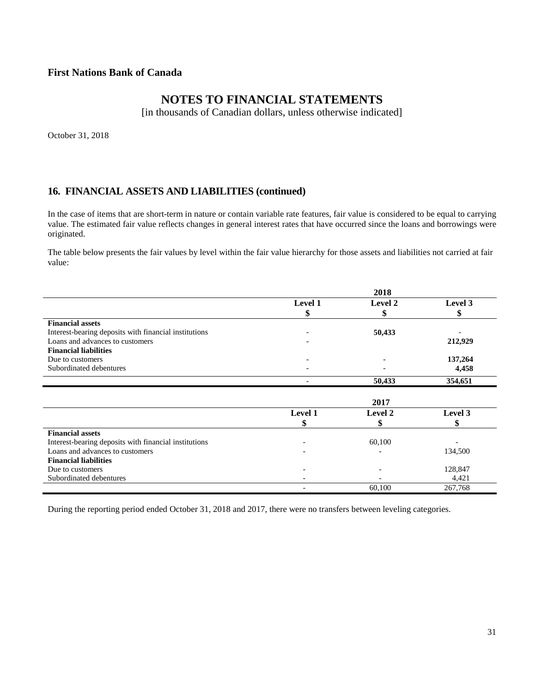## **NOTES TO FINANCIAL STATEMENTS**

[in thousands of Canadian dollars, unless otherwise indicated]

October 31, 2018

## **16. FINANCIAL ASSETS AND LIABILITIES (continued)**

In the case of items that are short-term in nature or contain variable rate features, fair value is considered to be equal to carrying value. The estimated fair value reflects changes in general interest rates that have occurred since the loans and borrowings were originated.

The table below presents the fair values by level within the fair value hierarchy for those assets and liabilities not carried at fair value:

|                                                       |                | 2018    |         |
|-------------------------------------------------------|----------------|---------|---------|
|                                                       | Level 1        | Level 2 | Level 3 |
|                                                       | S              | \$      |         |
| <b>Financial assets</b>                               |                |         |         |
| Interest-bearing deposits with financial institutions |                | 50,433  |         |
| Loans and advances to customers                       |                |         | 212,929 |
| <b>Financial liabilities</b>                          |                |         |         |
| Due to customers                                      |                |         | 137,264 |
| Subordinated debentures                               |                |         | 4,458   |
|                                                       |                | 50,433  | 354,651 |
|                                                       |                |         |         |
|                                                       |                | 2017    |         |
|                                                       | <b>Level 1</b> | Level 2 | Level 3 |
|                                                       | \$             | \$      | \$      |
| <b>Financial assets</b>                               |                |         |         |
| Interest-bearing deposits with financial institutions |                | 60,100  |         |
| Loans and advances to customers                       |                |         | 134,500 |
| <b>Financial liabilities</b>                          |                |         |         |
| Due to customers                                      |                |         | 128,847 |
| Subordinated debentures                               |                |         | 4,421   |
|                                                       |                | 60,100  | 267,768 |

During the reporting period ended October 31, 2018 and 2017, there were no transfers between leveling categories.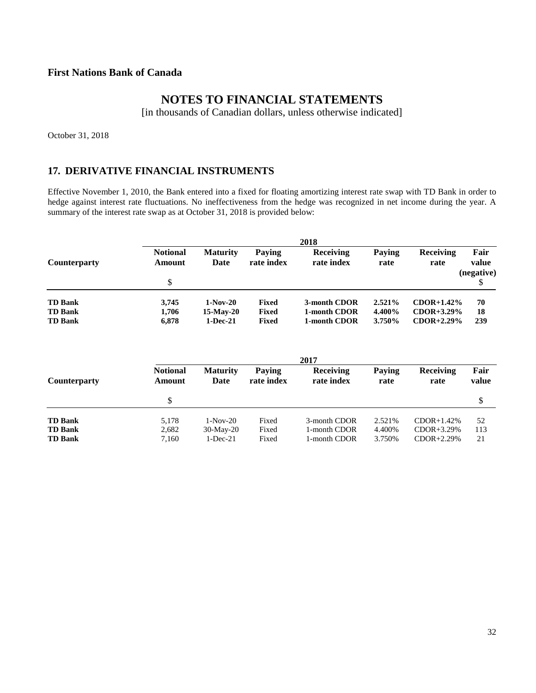## **NOTES TO FINANCIAL STATEMENTS**

[in thousands of Canadian dollars, unless otherwise indicated]

October 31, 2018

## **17. DERIVATIVE FINANCIAL INSTRUMENTS**

Effective November 1, 2010, the Bank entered into a fixed for floating amortizing interest rate swap with TD Bank in order to hedge against interest rate fluctuations. No ineffectiveness from the hedge was recognized in net income during the year. A summary of the interest rate swap as at October 31, 2018 is provided below:

| Counterparty   |                           |                         |                      | 2018                    |                |                   |               |
|----------------|---------------------------|-------------------------|----------------------|-------------------------|----------------|-------------------|---------------|
|                | <b>Notional</b><br>Amount | <b>Maturity</b><br>Date | Paving<br>rate index | Receiving<br>rate index | Paying<br>rate | Receiving<br>rate | Fair<br>value |
|                | \$                        |                         |                      |                         |                |                   | (negative)    |
| <b>TD Bank</b> | 3.745                     | $1-Nov-20$              | <b>Fixed</b>         | 3-month CDOR            | 2.521%         | $CDOR+1.42\%$     | 70            |
| <b>TD Bank</b> | 1.706                     | 15-May-20               | Fixed                | 1-month CDOR            | 4.400%         | $CDOR+3.29%$      | 18            |
| <b>TD Bank</b> | 6,878                     | $1-Dec-21$              | Fixed                | 1-month CDOR            | 3.750%         | $CDOR+2.29%$      | 239           |

|                                                    |                           |                                       |                         | 2017                                         |                            |                                              |                 |
|----------------------------------------------------|---------------------------|---------------------------------------|-------------------------|----------------------------------------------|----------------------------|----------------------------------------------|-----------------|
| Counterparty                                       | <b>Notional</b><br>Amount | <b>Maturity</b><br>Date               | Paving<br>rate index    | <b>Receiving</b><br>rate index               | Paying<br>rate             | Receiving<br>rate                            | Fair<br>value   |
|                                                    | \$                        |                                       |                         |                                              |                            |                                              | \$              |
| <b>TD Bank</b><br><b>TD Bank</b><br><b>TD Bank</b> | 5.178<br>2,682<br>7.160   | 1-Nov-20<br>$30-May-20$<br>$1-Dec-21$ | Fixed<br>Fixed<br>Fixed | 3-month CDOR<br>1-month CDOR<br>1-month CDOR | 2.521%<br>4.400%<br>3.750% | $CDOR+1.42%$<br>$CDOR+3.29%$<br>$CDOR+2.29%$ | 52<br>113<br>21 |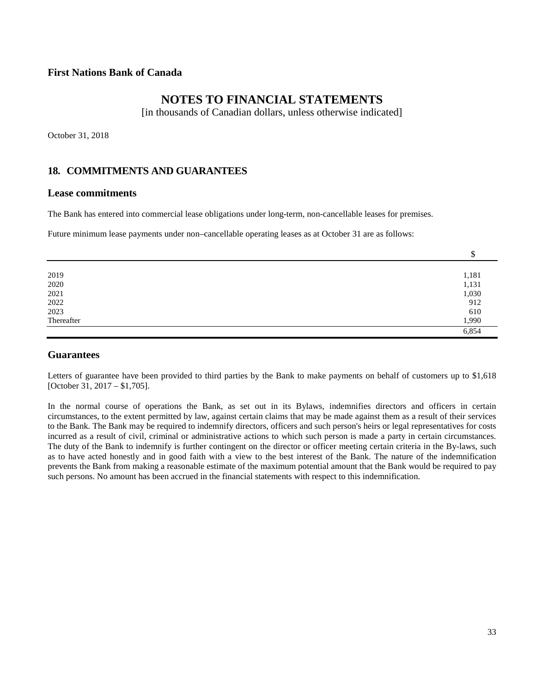## **NOTES TO FINANCIAL STATEMENTS**

[in thousands of Canadian dollars, unless otherwise indicated]

October 31, 2018

## **18. COMMITMENTS AND GUARANTEES**

#### **Lease commitments**

The Bank has entered into commercial lease obligations under long-term, non-cancellable leases for premises.

Future minimum lease payments under non–cancellable operating leases as at October 31 are as follows:

|                                             | ۰D    |
|---------------------------------------------|-------|
|                                             |       |
| 2019                                        | 1,181 |
| $2020\,$                                    | 1,131 |
|                                             | 1,030 |
| $\begin{array}{c} 2021 \\ 2022 \end{array}$ | 912   |
| 2023                                        | 610   |
| Thereafter                                  | 1,990 |
|                                             | 6,854 |

### **Guarantees**

Letters of guarantee have been provided to third parties by the Bank to make payments on behalf of customers up to \$1,618 [October 31, 2017 – \$1,705].

In the normal course of operations the Bank, as set out in its Bylaws, indemnifies directors and officers in certain circumstances, to the extent permitted by law, against certain claims that may be made against them as a result of their services to the Bank. The Bank may be required to indemnify directors, officers and such person's heirs or legal representatives for costs incurred as a result of civil, criminal or administrative actions to which such person is made a party in certain circumstances. The duty of the Bank to indemnify is further contingent on the director or officer meeting certain criteria in the By-laws, such as to have acted honestly and in good faith with a view to the best interest of the Bank. The nature of the indemnification prevents the Bank from making a reasonable estimate of the maximum potential amount that the Bank would be required to pay such persons. No amount has been accrued in the financial statements with respect to this indemnification.